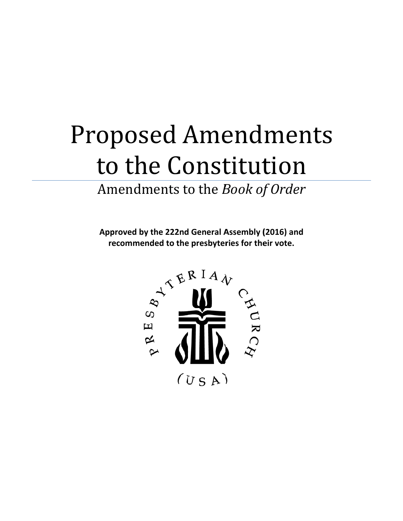# Proposed Amendments to the Constitution

Amendments to the *Book of Order* 

**Approved by the 222nd General Assembly (2016) and re ecommend ded to the e presbyter ries for the eir vote.**

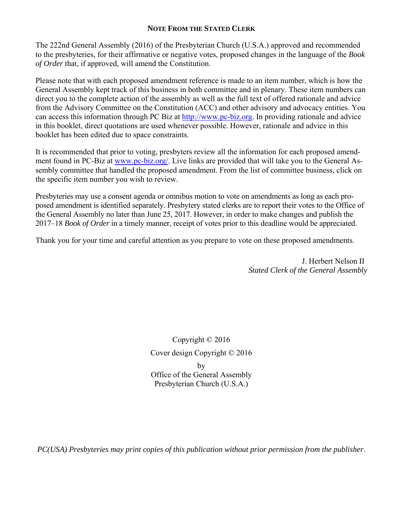# **NOTE FROM THE STATED CLERK**

The 222nd General Assembly (2016) of the Presbyterian Church (U.S.A.) approved and recommended to the presbyteries, for their affirmative or negative votes, proposed changes in the language of the *Book of Order* that, if approved, will amend the Constitution.

Please note that with each proposed amendment reference is made to an item number, which is how the General Assembly kept track of this business in both committee and in plenary. These item numbers can direct you to the complete action of the assembly as well as the full text of offered rationale and advice from the Advisory Committee on the Constitution (ACC) and other advisory and advocacy entities. You can access this information through PC Biz at http://www.pc-biz.org. In providing rationale and advice in this booklet, direct quotations are used whenever possible. However, rationale and advice in this booklet has been edited due to space constraints.

It is recommended that prior to voting, presbyters review all the information for each proposed amendment found in PC-Biz at www.pc-biz.org/. Live links are provided that will take you to the General Assembly committee that handled the proposed amendment. From the list of committee business, click on the specific item number you wish to review.

Presbyteries may use a consent agenda or omnibus motion to vote on amendments as long as each proposed amendment is identified separately. Presbytery stated clerks are to report their votes to the Office of the General Assembly no later than June 25, 2017. However, in order to make changes and publish the 2017–18 *Book of Order* in a timely manner, receipt of votes prior to this deadline would be appreciated.

Thank you for your time and careful attention as you prepare to vote on these proposed amendments.

J. Herbert Nelson II *Stated Clerk of the General Assembly* 

Copyright © 2016 Cover design Copyright © 2016 by Office of the General Assembly Presbyterian Church (U.S.A.)

*PC(USA) Presbyteries may print copies of this publication without prior permission from the publisher*.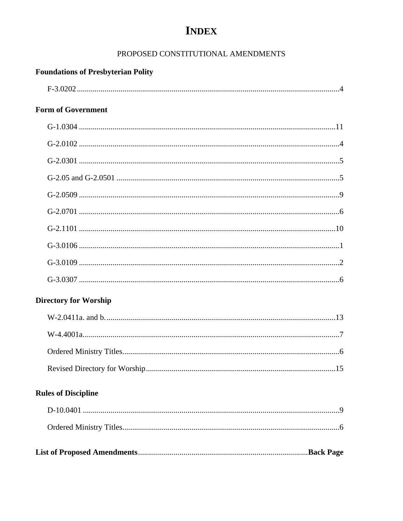# **INDEX**

# PROPOSED CONSTITUTIONAL AMENDMENTS

| <b>Foundations of Presbyterian Polity</b> |                |  |
|-------------------------------------------|----------------|--|
|                                           |                |  |
| <b>Form of Government</b>                 |                |  |
|                                           |                |  |
|                                           |                |  |
|                                           |                |  |
|                                           |                |  |
|                                           |                |  |
|                                           |                |  |
|                                           |                |  |
|                                           |                |  |
|                                           |                |  |
|                                           |                |  |
| <b>Directory for Worship</b>              |                |  |
| $W_2$ $0$ $11a$ and h                     | 1 <sub>2</sub> |  |

# **Rules of Discipline**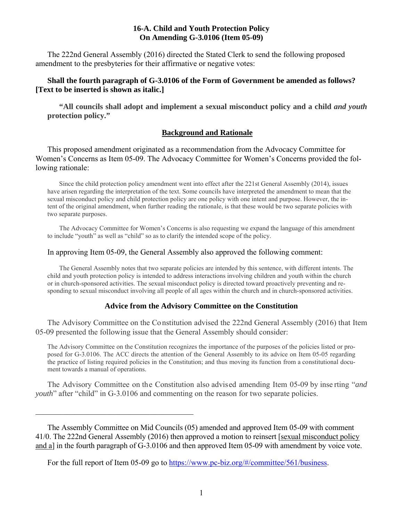#### **16-A. Child and Youth Protection Policy On Amending G-3.0106 (Item 05-09)**

<span id="page-3-0"></span>The 222nd General Assembly (2016) directed the Stated Clerk to send the following proposed amendment to the presbyteries for their affirmative or negative votes:

# **Shall the fourth paragraph of G-3.0106 of the Form of Government be amended as follows? [Text to be inserted is shown as italic.]**

**"All councils shall adopt and implement a sexual misconduct policy and a child** *and youth* **protection policy."**

# **Background and Rationale**

This proposed amendment originated as a recommendation from the Advocacy Committee for Women's Concerns as Item 05-09. The Advocacy Committee for Women's Concerns provided the following rationale:

Since the child protection policy amendment went into effect after the 221st General Assembly (2014), issues have arisen regarding the interpretation of the text. Some councils have interpreted the amendment to mean that the sexual misconduct policy and child protection policy are one policy with one intent and purpose. However, the intent of the original amendment, when further reading the rationale, is that these would be two separate policies with two separate purposes.

The Advocacy Committee for Women's Concerns is also requesting we expand the language of this amendment to include "youth" as well as "child" so as to clarify the intended scope of the policy.

#### In approving Item 05-09, the General Assembly also approved the following comment:

The General Assembly notes that two separate policies are intended by this sentence, with different intents. The child and youth protection policy is intended to address interactions involving children and youth within the church or in church-sponsored activities. The sexual misconduct policy is directed toward proactively preventing and responding to sexual misconduct involving all people of all ages within the church and in church-sponsored activities.

#### **Advice from the Advisory Committee on the Constitution**

The Advisory Committee on the Co nstitution advised the 222nd General Assembly (2016) that Item 05-09 presented the following issue that the General Assembly should consider:

The Advisory Committee on the Constitution recognizes the importance of the purposes of the policies listed or proposed for G-3.0106. The ACC directs the attention of the General Assembly to its advice on Item 05-05 regarding the practice of listing required policies in the Constitution; and thus moving its function from a constitutional document towards a manual of operations.

The Advisory Committee on the Constitution also advised amending Item 05-09 by inse rting "*and youth*" after "child" in G-3.0106 and commenting on the reason for two separate policies.

The Assembly Committee on Mid Councils (05) amended and approved Item 05-09 with comment 41/0. The 222nd General Assembly (2016) then approved a motion to reinsert [sexual misconduct policy and a] in the fourth paragraph of G-3.0106 and then approved Item 05-09 with amendment by voice vote.

For the full report of Item 05-09 go to https://www.pc-biz.org/#/committee/561/business.

 $\overline{\phantom{a}}$  , and the set of the set of the set of the set of the set of the set of the set of the set of the set of the set of the set of the set of the set of the set of the set of the set of the set of the set of the s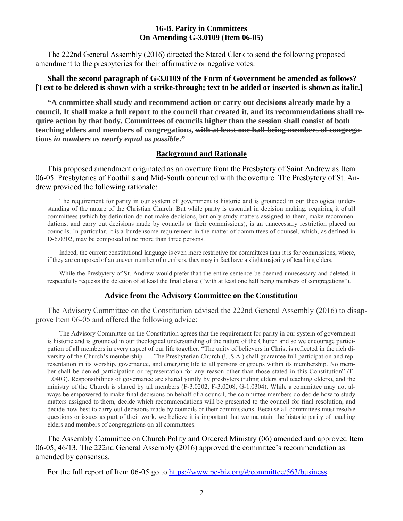#### **16-B. Parity in Committees On Amending G-3.0109 (Item 06-05)**

<span id="page-4-0"></span>The 222nd General Assembly (2016) directed the Stated Clerk to send the following proposed amendment to the presbyteries for their affirmative or negative votes:

### **Shall the second paragraph of G-3.0109 of the Form of Government be amended as follows? [Text to be deleted is shown with a strike-through; text to be added or inserted is shown as italic.]**

**"A committee shall study and recommend action or carry out decisions already made by a council. It shall make a full report to the council that created it, and its recommendations shall require action by that body. Committees of councils higher than the session shall consist of both teaching elders and members of congregations, with at least one half being members of congregations** *in numbers as nearly equal as possible***."**

#### **Background and Rationale**

This proposed amendment originated as an overture from the Presbytery of Saint Andrew as Item 06-05. Presbyteries of Foothills and Mid-South concurred with the overture. The Presbytery of St. Andrew provided the following rationale:

The requirement for parity in our system of government is historic and is grounded in our theological understanding of the nature of the Christian Church. But while parity is essential in decision making, requiring it of all committees (which by definition do not make decisions, but only study matters assigned to them, make recommendations, and carry out decisions made by councils or their commissions), is an unnecessary restriction placed on councils. In particular, it is a burdensome requirement in the matter of committees of counsel, which, as defined in D-6.0302, may be composed of no more than three persons.

Indeed, the current constitutional language is even more restrictive for committees than it is for commissions, where, if they are composed of an uneven number of members, they may in fact have a slight majority of teaching elders.

While the Presbytery of St. Andrew would prefer tha t the entire sentence be deemed unnecessary and deleted, it respectfully requests the deletion of at least the final clause ("with at least one half being members of congregations").

# **Advice from the Advisory Committee on the Constitution**

The Advisory Committee on the Constitution advised the 222nd General Assembly (2016) to disapprove Item 06-05 and offered the following advice:

The Advisory Committee on the Constitution agrees that the requirement for parity in our system of government is historic and is grounded in our theological understanding of the nature of the Church and so we encourage participation of all members in every aspect of our life together. "The unity of believers in Christ is reflected in the rich diversity of the Church's membership. … The Presbyterian Church (U.S.A.) shall guarantee full participation and representation in its worship, governance, and emerging life to all persons or groups within its membership. No member shall be denied participation or representation for any reason other than those stated in this Constitution" (F-1.0403). Responsibilities of governance are shared jointly by presbyters (ruling elders and teaching elders), and the ministry of the Church is shared by all members (F-3.0202, F-3.0208, G-1.0304). While a committee may not always be empowered to make final decisions on behalf of a council, the committee members do decide how to study matters assigned to them, decide which recommendations will be presented to the council for final resolution, and decide how best to carry out decisions made by councils or their commissions. Because all committees must resolve questions or issues as part of their work, we believe it is important that we maintain the historic parity of teaching elders and members of congregations on all committees.

The Assembly Committee on Church Polity and Ordered Ministry (06) amended and approved Item 06-05, 46/13. The 222nd General Assembly (2016) approved the committee's recommendation as amended by consensus.

For the full report of Item 06-05 go to https://www.pc-biz.org/#/committee/563/business.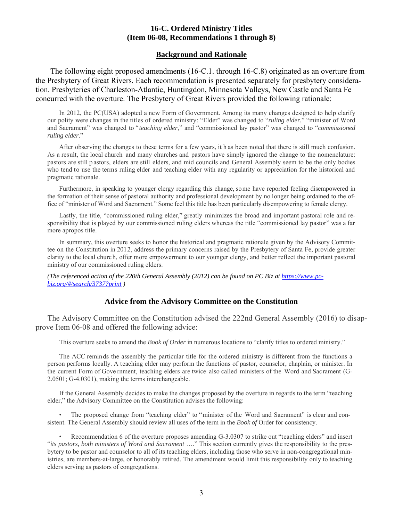#### **16-C. Ordered Ministry Titles (Item 06-08, Recommendations 1 through 8)**

#### **Background and Rationale**

<span id="page-5-0"></span>The following eight proposed amendments (16-C.1. through 16-C.8) originated as an overture from the Presbytery of Great Rivers. Each recommendation is presented separately for presbytery consideration. Presbyteries of Charleston-Atlantic, Huntingdon, Minnesota Valleys, New Castle and Santa Fe concurred with the overture. The Presbytery of Great Rivers provided the following rationale:

In 2012, the PC(USA) adopted a new Form of Government. Among its many changes designed to help clarify our polity were changes in the titles of ordered ministry: "Elder" was changed to "*ruling elder*," "minister of Word and Sacrament" was changed to "*teaching elder*," and "commissioned lay pastor" was changed to "*commissioned ruling elder*."

After observing the changes to these terms for a few years, it h as been noted that there is still much confusion. As a result, the local church and many churches and pastors have simply ignored the change to the nomenclature: pastors are still p astors, elders are still elders, and mid councils and General Assembly seem to be the only bodies who tend to use the terms ruling elder and teaching elder with any regularity or appreciation for the historical and pragmatic rationale.

Furthermore, in speaking to younger clergy regarding this change, some have reported feeling disempowered in the formation of their sense of pastoral authority and professional development by no longer being ordained to the office of "minister of Word and Sacrament." Some feel this title has been particularly disempowering to female clergy.

Lastly, the title, "commissioned ruling elder," greatly minimizes the broad and important pastoral role and responsibility that is played by our commissioned ruling elders whereas the title "commissioned lay pastor" was a far more apropos title.

In summary, this overture seeks to honor the historical and pragmatic rationale given by the Advisory Committee on the Constitution in 2012, address the primary concerns raised by the Presbytery of Santa Fe, provide greater clarity to the local church, offer more empowerment to our younger clergy, and better reflect the important pastoral ministry of our commissioned ruling elders.

*(The referenced action of the 220th General Assembly (2012) can be found on PC Biz at https://www.pcbiz.org/#/search/3737?print )* 

#### **Advice from the Advisory Committee on the Constitution**

The Advisory Committee on the Constitution advised the 222nd General Assembly (2016) to disapprove Item 06-08 and offered the following advice:

This overture seeks to amend the *Book of Order* in numerous locations to "clarify titles to ordered ministry."

The ACC reminds the assembly the particular title for the ordered ministry is different from the functions a person performs locally. A teaching elder may perform the functions of pastor, counselor, chaplain, or minister. In the current Form of Gove rnment, teaching elders are twice also called ministers of the Word and Sacrament (G-2.0501; G-4.0301), making the terms interchangeable.

If the General Assembly decides to make the changes proposed by the overture in regards to the term "teaching elder," the Advisory Committee on the Constitution advises the following:

The proposed change from "teaching elder" to "minister of the Word and Sacrament" is clear and consistent. The General Assembly should review all uses of the term in the *Book of* Order for consistency.

• Recommendation 6 of the overture proposes amending G-3.0307 to strike out "teaching elders" and insert "*its pastors, both ministers of Word and Sacrament* …." This section currently gives the responsibility to the presbytery to be pastor and counselor to all of its teaching elders, including those who serve in non-congregational ministries, are members-at-large, or honorably retired. The amendment would limit this responsibility only to teaching elders serving as pastors of congregations.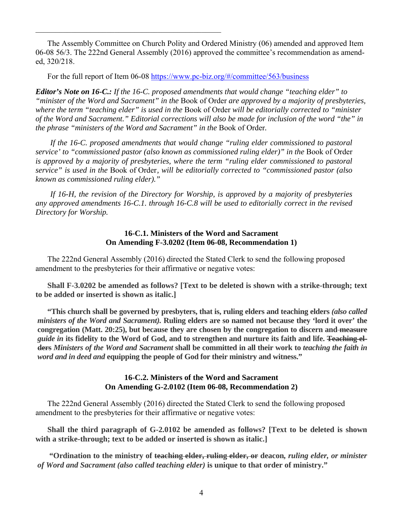The Assembly Committee on Church Polity and Ordered Ministry (06) amended and approved Item 06-08 56/3. The 222nd General Assembly (2016) approved the committee's recommendation as amended, 320/218.

For the full report of Item 06-08 https://www.pc-biz.org/#/committee/563/business

<span id="page-6-0"></span> $\overline{\phantom{a}}$  , and the set of the set of the set of the set of the set of the set of the set of the set of the set of the set of the set of the set of the set of the set of the set of the set of the set of the set of the s

*Editor's Note on 16-C.: If the 16-C. proposed amendments that would change "teaching elder" to "minister of the Word and Sacrament" in the* Book of Order *are approved by a majority of presbyteries, where the term "teaching elder" is used in the* Book of Order *will be editorially corrected to "minister of the Word and Sacrament." Editorial corrections will also be made for inclusion of the word "the" in the phrase "ministers of the Word and Sacrament" in the* Book of Order*.*

*If the 16-C. proposed amendments that would change "ruling elder commissioned to pastoral service' to "commissioned pastor (also known as commissioned ruling elder)" in the Book of Order is approved by a majority of presbyteries, where the term "ruling elder commissioned to pastoral service" is used in the* Book of Order*, will be editorially corrected to "commissioned pastor (also known as commissioned ruling elder)."* 

*If 16-H, the revision of the Directory for Worship, is approved by a majority of presbyteries any approved amendments 16-C.1. through 16-C.8 will be used to editorially correct in the revised Directory for Worship.* 

#### **16-C.1. Ministers of the Word and Sacrament On Amending F-3.0202 (Item 06-08, Recommendation 1)**

The 222nd General Assembly (2016) directed the Stated Clerk to send the following proposed amendment to the presbyteries for their affirmative or negative votes:

**Shall F-3.0202 be amended as follows? [Text to be deleted is shown with a strike-through; text to be added or inserted is shown as italic.]**

**"This church shall be governed by presbyters, that is, ruling elders and teaching elders** *(also called ministers of the Word and Sacrament).* **Ruling elders are so named not because they 'lord it over' the congregation (Matt. 20:25), but because they are chosen by the congregation to discern and measure**  *guide in* **its fidelity to the Word of God, and to strengthen and nurture its faith and life. Teaching elders** *Ministers of the Word and Sacrament* **shall be committed in all their work to** *teaching the faith in word and in deed and* **equipping the people of God for their ministry and witness."**

# **16-C.2. Ministers of the Word and Sacrament On Amending G-2.0102 (Item 06-08, Recommendation 2)**

The 222nd General Assembly (2016) directed the Stated Clerk to send the following proposed amendment to the presbyteries for their affirmative or negative votes:

**Shall the third paragraph of G-2.0102 be amended as follows? [Text to be deleted is shown with a strike-through; text to be added or inserted is shown as italic.]**

**"Ordination to the ministry of teaching elder, ruling elder, or deacon***, ruling elder, or minister of Word and Sacrament (also called teaching elder)* **is unique to that order of ministry."**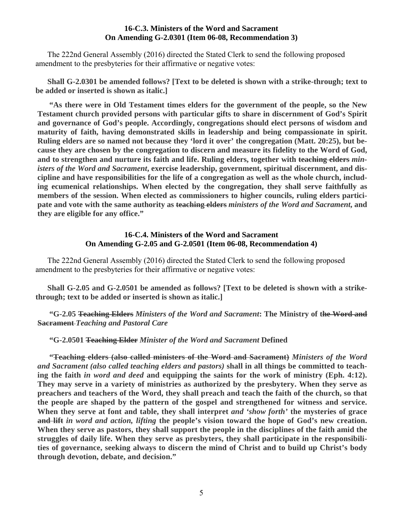#### **16-C.3. Ministers of the Word and Sacrament On Amending G-2.0301 (Item 06-08, Recommendation 3)**

<span id="page-7-0"></span>The 222nd General Assembly (2016) directed the Stated Clerk to send the following proposed amendment to the presbyteries for their affirmative or negative votes:

**Shall G-2.0301 be amended follows? [Text to be deleted is shown with a strike-through; text to be added or inserted is shown as italic.]**

**"As there were in Old Testament times elders for the government of the people, so the New Testament church provided persons with particular gifts to share in discernment of God's Spirit and governance of God's people. Accordingly, congregations should elect persons of wisdom and maturity of faith, having demonstrated skills in leadership and being compassionate in spirit. Ruling elders are so named not because they 'lord it over' the congregation (Matt. 20:25), but because they are chosen by the congregation to discern and measure its fidelity to the Word of God, and to strengthen and nurture its faith and life. Ruling elders, together with teaching elders** *ministers of the Word and Sacrament***, exercise leadership, government, spiritual discernment, and discipline and have responsibilities for the life of a congregation as well as the whole church, including ecumenical relationships. When elected by the congregation, they shall serve faithfully as members of the session. When elected as commissioners to higher councils, ruling elders participate and vote with the same authority as teaching elders** *ministers of the Word and Sacrament***, and they are eligible for any office."**

# **16-C.4. Ministers of the Word and Sacrament On Amending G-2.05 and G-2.0501 (Item 06-08, Recommendation 4)**

The 222nd General Assembly (2016) directed the Stated Clerk to send the following proposed amendment to the presbyteries for their affirmative or negative votes:

**Shall G-2.05 and G-2.0501 be amended as follows? [Text to be deleted is shown with a strikethrough; text to be added or inserted is shown as italic.]**

**"G-2.05 Teaching Elders** *Ministers of the Word and Sacrament***: The Ministry of the Word and Sacrament** *Teaching and Pastoral Care*

**"G-2.0501 Teaching Elder** *Minister of the Word and Sacrament* **Defined**

**"Teaching elders (also called ministers of the Word and Sacrament)** *Ministers of the Word and Sacrament (also called teaching elders and pastors)* **shall in all things be committed to teaching the faith** *in word and deed* **and equipping the saints for the work of ministry (Eph. 4:12). They may serve in a variety of ministries as authorized by the presbytery. When they serve as preachers and teachers of the Word, they shall preach and teach the faith of the church, so that the people are shaped by the pattern of the gospel and strengthened for witness and service. When they serve at font and table, they shall interpret** *and 'show forth'* **the mysteries of grace and lift** *in word and action, lifting* **the people's vision toward the hope of God's new creation. When they serve as pastors, they shall support the people in the disciplines of the faith amid the struggles of daily life. When they serve as presbyters, they shall participate in the responsibilities of governance, seeking always to discern the mind of Christ and to build up Christ's body through devotion, debate, and decision."**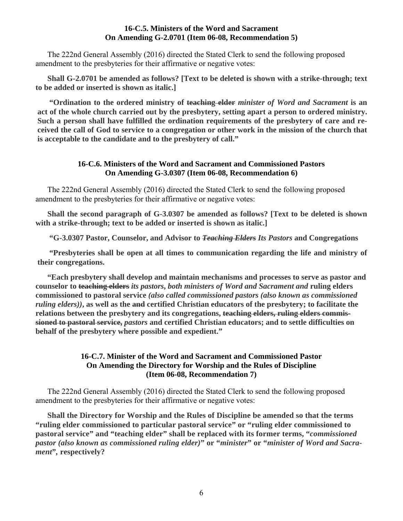# **16-C.5. Ministers of the Word and Sacrament On Amending G-2.0701 (Item 06-08, Recommendation 5)**

<span id="page-8-0"></span>The 222nd General Assembly (2016) directed the Stated Clerk to send the following proposed amendment to the presbyteries for their affirmative or negative votes:

**Shall G-2.0701 be amended as follows? [Text to be deleted is shown with a strike-through; text to be added or inserted is shown as italic.]**

**"Ordination to the ordered ministry of teaching elder** *minister of Word and Sacrament* **is an act of the whole church carried out by the presbytery, setting apart a person to ordered ministry. Such a person shall have fulfilled the ordination requirements of the presbytery of care and received the call of God to service to a congregation or other work in the mission of the church that is acceptable to the candidate and to the presbytery of call."**

# **16-C.6. Ministers of the Word and Sacrament and Commissioned Pastors On Amending G-3.0307 (Item 06-08, Recommendation 6)**

The 222nd General Assembly (2016) directed the Stated Clerk to send the following proposed amendment to the presbyteries for their affirmative or negative votes:

**Shall the second paragraph of G-3.0307 be amended as follows? [Text to be deleted is shown with a strike-through; text to be added or inserted is shown as italic.]**

**"G-3.0307 Pastor, Counselor, and Advisor to** *Teaching Elders Its Pastors* **and Congregations**

**"Presbyteries shall be open at all times to communication regarding the life and ministry of their congregations.** 

**"Each presbytery shall develop and maintain mechanisms and processes to serve as pastor and counselor to teaching elders** *its pastors***,** *both ministers of Word and Sacrament and* **ruling elders commissioned to pastoral service** *(also called commissioned pastors (also known as commissioned ruling elders))***, as well as the and certified Christian educators of the presbytery; to facilitate the relations between the presbytery and its congregations, teaching elders, ruling elders commissioned to pastoral service,** *pastors* **and certified Christian educators; and to settle difficulties on behalf of the presbytery where possible and expedient."** 

# **16-C.7. Minister of the Word and Sacrament and Commissioned Pastor On Amending the Directory for Worship and the Rules of Discipline (Item 06-08, Recommendation 7)**

The 222nd General Assembly (2016) directed the Stated Clerk to send the following proposed amendment to the presbyteries for their affirmative or negative votes:

**Shall the Directory for Worship and the Rules of Discipline be amended so that the terms "ruling elder commissioned to particular pastoral service" or "ruling elder commissioned to pastoral service" and "teaching elder" shall be replaced with its former terms, "***commissioned pastor (also known as commissioned ruling elder)***" or "***minister***" or "***minister of Word and Sacrament***"***,* **respectively?**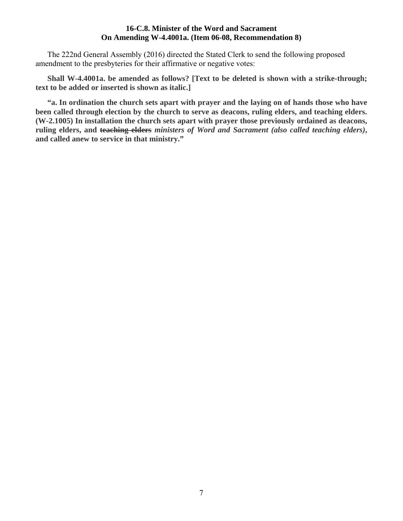#### **16-C.8. Minister of the Word and Sacrament On Amending W-4.4001a. (Item 06-08, Recommendation 8)**

<span id="page-9-0"></span>The 222nd General Assembly (2016) directed the Stated Clerk to send the following proposed amendment to the presbyteries for their affirmative or negative votes:

**Shall W-4.4001a. be amended as follows? [Text to be deleted is shown with a strike-through; text to be added or inserted is shown as italic.]**

**"a. In ordination the church sets apart with prayer and the laying on of hands those who have been called through election by the church to serve as deacons, ruling elders, and teaching elders. (W-2.1005) In installation the church sets apart with prayer those previously ordained as deacons, ruling elders, and teaching elders** *ministers of Word and Sacrament (also called teaching elders)***, and called anew to service in that ministry."**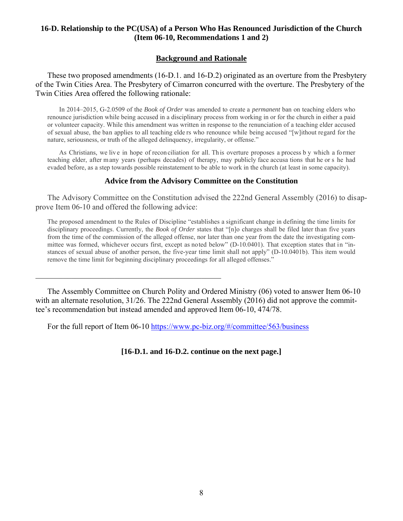# <span id="page-10-0"></span>**16-D. Relationship to the PC(USA) of a Person Who Has Renounced Jurisdiction of the Church (Item 06-10, Recommendations 1 and 2)**

#### **Background and Rationale**

These two proposed amendments (16-D.1. and 16-D.2) originated as an overture from the Presbytery of the Twin Cities Area. The Presbytery of Cimarron concurred with the overture. The Presbytery of the Twin Cities Area offered the following rationale:

In 2014–2015, G-2.0509 of the *Book of Order* was amended to create a *permanent* ban on teaching elders who renounce jurisdiction while being accused in a disciplinary process from working in or for the church in either a paid or volunteer capacity. While this amendment was written in response to the renunciation of a teaching elder accused of sexual abuse, the ban applies to all teaching elde rs who renounce while being accused "[w]ithout regard for the nature, seriousness, or truth of the alleged delinquency, irregularity, or offense."

As Christians, we live in hope of reconciliation for all. This overture proposes a process b y which a former teaching elder, after m any years (perhaps decades) of therapy, may publicly face accusa tions that he or s he had evaded before, as a step towards possible reinstatement to be able to work in the church (at least in some capacity).

# **Advice from the Advisory Committee on the Constitution**

The Advisory Committee on the Constitution advised the 222nd General Assembly (2016) to disapprove Item 06-10 and offered the following advice:

The proposed amendment to the Rules of Discipline "establishes a significant change in defining the time limits for disciplinary proceedings. Currently, the *Book of Order* states that "[n]o charges shall be filed later than five years from the time of the commission of the alleged offense, nor later than one year from the date the investigating committee was formed, whichever occurs first, except as noted below" (D-10.0401). That exception states that in "instances of sexual abuse of another person, the five-year time limit shall not apply" (D-10.0401b). This item would remove the time limit for beginning disciplinary proceedings for all alleged offenses."

The Assembly Committee on Church Polity and Ordered Ministry (06) voted to answer Item 06-10 with an alternate resolution, 31/26. The 222nd General Assembly (2016) did not approve the committee's recommendation but instead amended and approved Item 06-10, 474/78.

For the full report of Item 06-10 https://www.pc-biz.org/#/committee/563/business

 $\overline{\phantom{a}}$  , and the set of the set of the set of the set of the set of the set of the set of the set of the set of the set of the set of the set of the set of the set of the set of the set of the set of the set of the s

**[16-D.1. and 16-D.2. continue on the next page.]**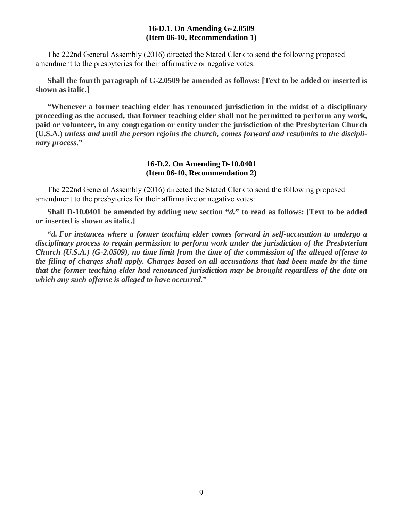#### **16-D.1. On Amending G-2.0509 (Item 06-10, Recommendation 1)**

<span id="page-11-0"></span>The 222nd General Assembly (2016) directed the Stated Clerk to send the following proposed amendment to the presbyteries for their affirmative or negative votes:

**Shall the fourth paragraph of G-2.0509 be amended as follows: [Text to be added or inserted is shown as italic.]**

**"Whenever a former teaching elder has renounced jurisdiction in the midst of a disciplinary proceeding as the accused, that former teaching elder shall not be permitted to perform any work, paid or volunteer, in any congregation or entity under the jurisdiction of the Presbyterian Church (U.S.A.)** *unless and until the person rejoins the church, comes forward and resubmits to the disciplinary process***."** 

# **16-D.2. On Amending D-10.0401 (Item 06-10, Recommendation 2)**

The 222nd General Assembly (2016) directed the Stated Clerk to send the following proposed amendment to the presbyteries for their affirmative or negative votes:

**Shall D-10.0401 be amended by adding new section "***d.***" to read as follows: [Text to be added or inserted is shown as italic.]**

**"***d. For instances where a former teaching elder comes forward in self-accusation to undergo a disciplinary process to regain permission to perform work under the jurisdiction of the Presbyterian Church (U.S.A.) (G-2.0509), no time limit from the time of the commission of the alleged offense to the filing of charges shall apply. Charges based on all accusations that had been made by the time that the former teaching elder had renounced jurisdiction may be brought regardless of the date on which any such offense is alleged to have occurred.***"**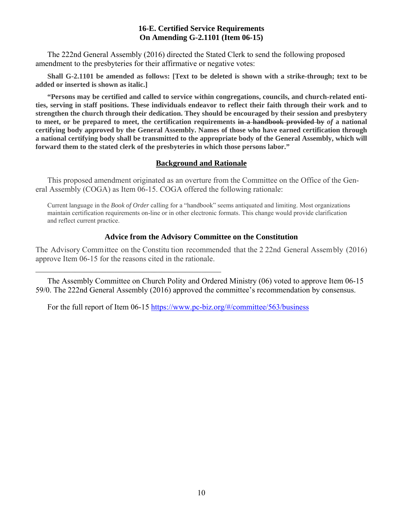# **16-E. Certified Service Requirements On Amending G-2.1101 (Item 06-15)**

<span id="page-12-0"></span>The 222nd General Assembly (2016) directed the Stated Clerk to send the following proposed amendment to the presbyteries for their affirmative or negative votes:

**Shall G-2.1101 be amended as follows: [Text to be deleted is shown with a strike-through; text to be added or inserted is shown as italic.]**

**"Persons may be certified and called to service within congregations, councils, and church-related entities, serving in staff positions. These individuals endeavor to reflect their faith through their work and to strengthen the church through their dedication. They should be encouraged by their session and presbytery to meet, or be prepared to meet, the certification requirements in a handbook provided by** *of* **a national certifying body approved by the General Assembly. Names of those who have earned certification through a national certifying body shall be transmitted to the appropriate body of the General Assembly, which will forward them to the stated clerk of the presbyteries in which those persons labor."**

# **Background and Rationale**

This proposed amendment originated as an overture from the Committee on the Office of the General Assembly (COGA) as Item 06-15. COGA offered the following rationale:

Current language in the *Book of Order* calling for a "handbook" seems antiquated and limiting. Most organizations maintain certification requirements on-line or in other electronic formats. This change would provide clarification and reflect current practice.

# **Advice from the Advisory Committee on the Constitution**

The Advisory Committee on the Constitu tion recommended that the 2 22nd General Assembly (2016) approve Item 06-15 for the reasons cited in the rationale.

The Assembly Committee on Church Polity and Ordered Ministry (06) voted to approve Item 06-15 59/0. The 222nd General Assembly (2016) approved the committee's recommendation by consensus.

For the full report of Item 06-15 https://www.pc-biz.org/#/committee/563/business

 $\overline{\phantom{a}}$  , and the set of the set of the set of the set of the set of the set of the set of the set of the set of the set of the set of the set of the set of the set of the set of the set of the set of the set of the s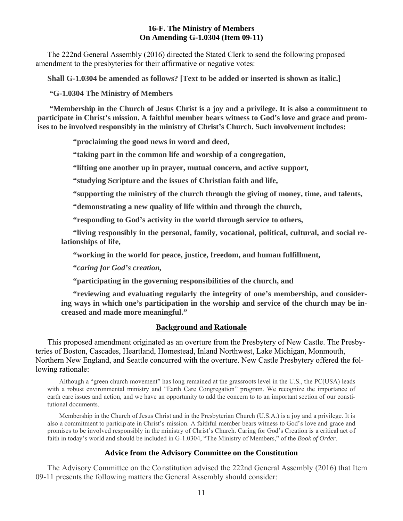#### **16-F. The Ministry of Members On Amending G-1.0304 (Item 09-11)**

<span id="page-13-0"></span>The 222nd General Assembly (2016) directed the Stated Clerk to send the following proposed amendment to the presbyteries for their affirmative or negative votes:

**Shall G-1.0304 be amended as follows? [Text to be added or inserted is shown as italic.]**

**"G-1.0304 The Ministry of Members**

**"Membership in the Church of Jesus Christ is a joy and a privilege. It is also a commitment to participate in Christ's mission. A faithful member bears witness to God's love and grace and promises to be involved responsibly in the ministry of Christ's Church. Such involvement includes:** 

**"proclaiming the good news in word and deed,**

**"taking part in the common life and worship of a congregation,**

**"lifting one another up in prayer, mutual concern, and active support***,*

**"studying Scripture and the issues of Christian faith and life,**

**"supporting the ministry of the church through the giving of money, time, and talents,**

**"demonstrating a new quality of life within and through the church,**

**"responding to God's activity in the world through service to others,**

**"living responsibly in the personal, family, vocational, political, cultural, and social relationships of life,**

**"working in the world for peace, justice, freedom, and human fulfillment,**

**"***caring for God's creation,*

**"participating in the governing responsibilities of the church, and**

**"reviewing and evaluating regularly the integrity of one's membership, and considering ways in which one's participation in the worship and service of the church may be increased and made more meaningful."**

#### **Background and Rationale**

This proposed amendment originated as an overture from the Presbytery of New Castle. The Presbyteries of Boston, Cascades, Heartland, Homestead, Inland Northwest, Lake Michigan, Monmouth, Northern New England, and Seattle concurred with the overture. New Castle Presbytery offered the following rationale:

Although a "green church movement" has long remained at the grassroots level in the U.S., the PC(USA) leads with a robust environmental ministry and "Earth Care Congregation" program. We recognize the importance of earth care issues and action, and we have an opportunity to add the concern to to an important section of our constitutional documents.

Membership in the Church of Jesus Christ and in the Presbyterian Church (U.S.A.) is a joy and a privilege. It is also a commitment to particip ate in Christ's mission. A faithful member bears witness to God's love and grace and promises to be involved responsibly in the ministry of Christ's Church. Caring for God's Creation is a critical act of faith in today's world and should be included in G-1.0304, "The Ministry of Members," of the *Book of Order*.

# **Advice from the Advisory Committee on the Constitution**

The Advisory Committee on the Co nstitution advised the 222nd General Assembly (2016) that Item 09-11 presents the following matters the General Assembly should consider: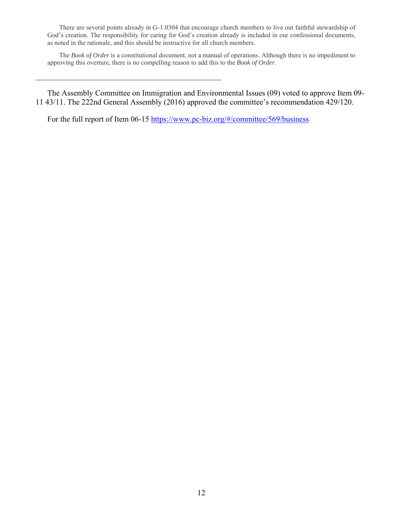There are several points already in G-1.0304 that encourage church members to live out faithful stewardship of God's creation. The responsibility for caring for God's creation already is included in our confessional documents, as noted in the rationale, and this should be instructive for all church members.

The *Book of Order* is a constitutional document, not a manual of operations. Although there is no impediment to approving this overture, there is no compelling reason to add this to the *Book of Order*.

The Assembly Committee on Immigration and Environmental Issues (09) voted to approve Item 09- 11 43/11. The 222nd General Assembly (2016) approved the committee's recommendation 429/120.

For the full report of Item 06-15 https://www.pc-biz.org/#/committee/569/business

 $\overline{\phantom{a}}$  , and the set of the set of the set of the set of the set of the set of the set of the set of the set of the set of the set of the set of the set of the set of the set of the set of the set of the set of the s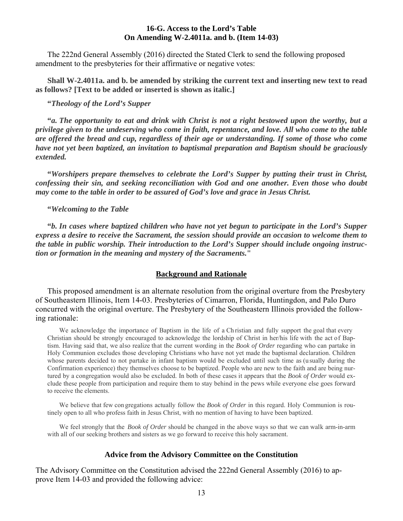#### **16-G. Access to the Lord's Table On Amending W-2.4011a. and b. (Item 14-03)**

<span id="page-15-0"></span>The 222nd General Assembly (2016) directed the Stated Clerk to send the following proposed amendment to the presbyteries for their affirmative or negative votes:

**Shall W-2.4011a. and b. be amended by striking the current text and inserting new text to read as follows? [Text to be added or inserted is shown as italic.]**

**"***Theology of the Lord's Supper*

**"***a. The opportunity to eat and drink with Christ is not a right bestowed upon the worthy, but a privilege given to the undeserving who come in faith, repentance, and love. All who come to the table are offered the bread and cup, regardless of their age or understanding. If some of those who come have not yet been baptized, an invitation to baptismal preparation and Baptism should be graciously extended.*

**"***Worshipers prepare themselves to celebrate the Lord's Supper by putting their trust in Christ, confessing their sin, and seeking reconciliation with God and one another. Even those who doubt may come to the table in order to be assured of God's love and grace in Jesus Christ.*

**"***Welcoming to the Table*

**"***b. In cases where baptized children who have not yet begun to participate in the Lord's Supper express a desire to receive the Sacrament, the session should provide an occasion to welcome them to the table in public worship. Their introduction to the Lord's Supper should include ongoing instruction or formation in the meaning and mystery of the Sacraments.***"**

#### **Background and Rationale**

This proposed amendment is an alternate resolution from the original overture from the Presbytery of Southeastern Illinois, Item 14-03. Presbyteries of Cimarron, Florida, Huntingdon, and Palo Duro concurred with the original overture. The Presbytery of the Southeastern Illinois provided the following rationale:

We acknowledge the importance of Baptism in the life of a Ch ristian and fully support the goal that every Christian should be strongly encouraged to acknowledge the lordship of Christ in her/his life with the act of Baptism. Having said that, we also realize that the current wording in the *Book of Order* regarding who can partake in Holy Communion excludes those developing Christians who have not yet made the baptismal declaration. Children whose parents decided to not partake in infant baptism would be excluded until such time as (usually during the Confirmation experience) they themselves choose to be baptized. People who are new to the faith and are being nurtured by a congregation would also be excluded. In both of these cases it appears that the *Book of Order* would exclude these people from participation and require them to stay behind in the pews while everyone else goes forward to receive the elements.

We believe that few con gregations actually follow the *Book of Order* in this regard. Holy Communion is routinely open to all who profess faith in Jesus Christ, with no mention of having to have been baptized.

We feel strongly that the *Book of Order* should be changed in the above ways so that we can walk arm-in-arm with all of our seeking brothers and sisters as we go forward to receive this holy sacrament.

#### **Advice from the Advisory Committee on the Constitution**

The Advisory Committee on the Constitution advised the 222nd General Assembly (2016) to approve Item 14-03 and provided the following advice: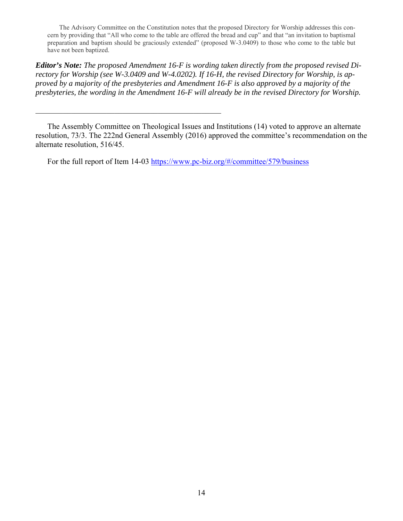The Advisory Committee on the Constitution notes that the proposed Directory for Worship addresses this concern by providing that "All who come to the table are offered the bread and cup" and that "an invitation to baptismal preparation and baptism should be graciously extended" (proposed W-3.0409) to those who come to the table but have not been baptized.

*Editor's Note: The proposed Amendment 16-F is wording taken directly from the proposed revised Directory for Worship (see W-3.0409 and W-4.0202). If 16-H, the revised Directory for Worship, is approved by a majority of the presbyteries and Amendment 16-F is also approved by a majority of the presbyteries, the wording in the Amendment 16-F will already be in the revised Directory for Worship.*

The Assembly Committee on Theological Issues and Institutions (14) voted to approve an alternate resolution, 73/3. The 222nd General Assembly (2016) approved the committee's recommendation on the alternate resolution, 516/45.

For the full report of Item 14-03 https://www.pc-biz.org/#/committee/579/business

 $\overline{\phantom{a}}$  , and the set of the set of the set of the set of the set of the set of the set of the set of the set of the set of the set of the set of the set of the set of the set of the set of the set of the set of the s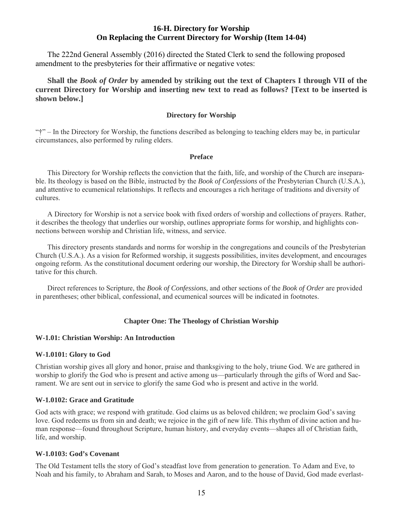# **16-H. Directory for Worship On Replacing the Current Directory for Worship (Item 14-04)**

<span id="page-17-0"></span>The 222nd General Assembly (2016) directed the Stated Clerk to send the following proposed amendment to the presbyteries for their affirmative or negative votes:

**Shall the** *Book of Order* **by amended by striking out the text of Chapters I through VII of the current Directory for Worship and inserting new text to read as follows? [Text to be inserted is shown below.]** 

#### **Directory for Worship**

"†" – In the Directory for Worship, the functions described as belonging to teaching elders may be, in particular circumstances, also performed by ruling elders.

#### **Preface**

This Directory for Worship reflects the conviction that the faith, life, and worship of the Church are inseparable. Its theology is based on the Bible, instructed by the *Book of Confessions* of the Presbyterian Church (U.S.A.), and attentive to ecumenical relationships. It reflects and encourages a rich heritage of traditions and diversity of cultures.

A Directory for Worship is not a service book with fixed orders of worship and collections of prayers. Rather, it describes the theology that underlies our worship, outlines appropriate forms for worship, and highlights connections between worship and Christian life, witness, and service.

This directory presents standards and norms for worship in the congregations and councils of the Presbyterian Church (U.S.A.). As a vision for Reformed worship, it suggests possibilities, invites development, and encourages ongoing reform. As the constitutional document ordering our worship, the Directory for Worship shall be authoritative for this church.

Direct references to Scripture, the *Book of Confessions*, and other sections of the *Book of Order* are provided in parentheses; other biblical, confessional, and ecumenical sources will be indicated in footnotes.

#### **Chapter One: The Theology of Christian Worship**

#### **W-1.01: Christian Worship: An Introduction**

#### **W-1.0101: Glory to God**

Christian worship gives all glory and honor, praise and thanksgiving to the holy, triune God. We are gathered in worship to glorify the God who is present and active among us—particularly through the gifts of Word and Sacrament. We are sent out in service to glorify the same God who is present and active in the world.

#### **W-1.0102: Grace and Gratitude**

God acts with grace; we respond with gratitude. God claims us as beloved children; we proclaim God's saving love. God redeems us from sin and death; we rejoice in the gift of new life. This rhythm of divine action and human response—found throughout Scripture, human history, and everyday events—shapes all of Christian faith, life, and worship.

#### **W-1.0103: God's Covenant**

The Old Testament tells the story of God's steadfast love from generation to generation. To Adam and Eve, to Noah and his family, to Abraham and Sarah, to Moses and Aaron, and to the house of David, God made everlast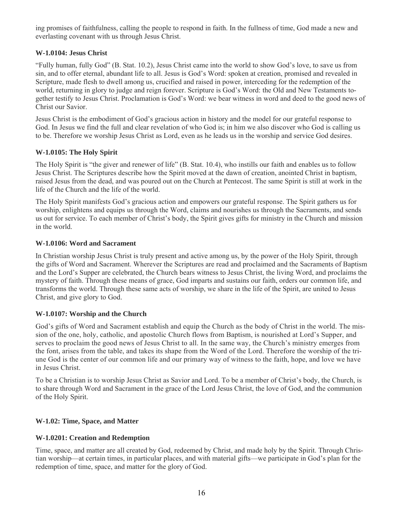ing promises of faithfulness, calling the people to respond in faith. In the fullness of time, God made a new and everlasting covenant with us through Jesus Christ.

# **W-1.0104: Jesus Christ**

"Fully human, fully God" (B. Stat. 10.2), Jesus Christ came into the world to show God's love, to save us from sin, and to offer eternal, abundant life to all. Jesus is God's Word: spoken at creation, promised and revealed in Scripture, made flesh to dwell among us, crucified and raised in power, interceding for the redemption of the world, returning in glory to judge and reign forever. Scripture is God's Word: the Old and New Testaments together testify to Jesus Christ. Proclamation is God's Word: we bear witness in word and deed to the good news of Christ our Savior.

Jesus Christ is the embodiment of God's gracious action in history and the model for our grateful response to God. In Jesus we find the full and clear revelation of who God is; in him we also discover who God is calling us to be. Therefore we worship Jesus Christ as Lord, even as he leads us in the worship and service God desires.

# **W-1.0105: The Holy Spirit**

The Holy Spirit is "the giver and renewer of life" (B. Stat. 10.4), who instills our faith and enables us to follow Jesus Christ. The Scriptures describe how the Spirit moved at the dawn of creation, anointed Christ in baptism, raised Jesus from the dead, and was poured out on the Church at Pentecost. The same Spirit is still at work in the life of the Church and the life of the world.

The Holy Spirit manifests God's gracious action and empowers our grateful response. The Spirit gathers us for worship, enlightens and equips us through the Word, claims and nourishes us through the Sacraments, and sends us out for service. To each member of Christ's body, the Spirit gives gifts for ministry in the Church and mission in the world.

# **W-1.0106: Word and Sacrament**

In Christian worship Jesus Christ is truly present and active among us, by the power of the Holy Spirit, through the gifts of Word and Sacrament. Wherever the Scriptures are read and proclaimed and the Sacraments of Baptism and the Lord's Supper are celebrated, the Church bears witness to Jesus Christ, the living Word, and proclaims the mystery of faith. Through these means of grace, God imparts and sustains our faith, orders our common life, and transforms the world. Through these same acts of worship, we share in the life of the Spirit, are united to Jesus Christ, and give glory to God.

# **W-1.0107: Worship and the Church**

God's gifts of Word and Sacrament establish and equip the Church as the body of Christ in the world. The mission of the one, holy, catholic, and apostolic Church flows from Baptism, is nourished at Lord's Supper, and serves to proclaim the good news of Jesus Christ to all. In the same way, the Church's ministry emerges from the font, arises from the table, and takes its shape from the Word of the Lord. Therefore the worship of the triune God is the center of our common life and our primary way of witness to the faith, hope, and love we have in Jesus Christ.

To be a Christian is to worship Jesus Christ as Savior and Lord. To be a member of Christ's body, the Church, is to share through Word and Sacrament in the grace of the Lord Jesus Christ, the love of God, and the communion of the Holy Spirit.

# **W-1.02: Time, Space, and Matter**

# **W-1.0201: Creation and Redemption**

Time, space, and matter are all created by God, redeemed by Christ, and made holy by the Spirit. Through Christian worship—at certain times, in particular places, and with material gifts—we participate in God's plan for the redemption of time, space, and matter for the glory of God.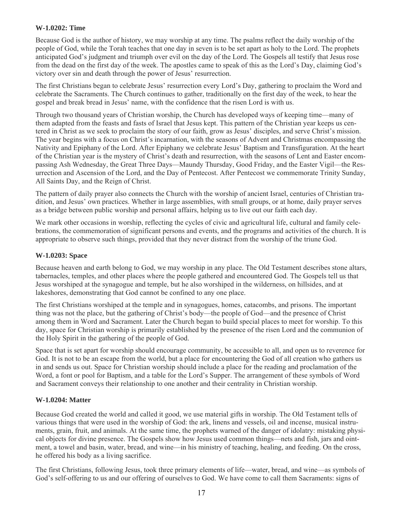# **W-1.0202: Time**

Because God is the author of history, we may worship at any time. The psalms reflect the daily worship of the people of God, while the Torah teaches that one day in seven is to be set apart as holy to the Lord. The prophets anticipated God's judgment and triumph over evil on the day of the Lord. The Gospels all testify that Jesus rose from the dead on the first day of the week. The apostles came to speak of this as the Lord's Day, claiming God's victory over sin and death through the power of Jesus' resurrection.

The first Christians began to celebrate Jesus' resurrection every Lord's Day, gathering to proclaim the Word and celebrate the Sacraments. The Church continues to gather, traditionally on the first day of the week, to hear the gospel and break bread in Jesus' name, with the confidence that the risen Lord is with us.

Through two thousand years of Christian worship, the Church has developed ways of keeping time—many of them adapted from the feasts and fasts of Israel that Jesus kept. This pattern of the Christian year keeps us centered in Christ as we seek to proclaim the story of our faith, grow as Jesus' disciples, and serve Christ's mission. The year begins with a focus on Christ's incarnation, with the seasons of Advent and Christmas encompassing the Nativity and Epiphany of the Lord. After Epiphany we celebrate Jesus' Baptism and Transfiguration. At the heart of the Christian year is the mystery of Christ's death and resurrection, with the seasons of Lent and Easter encompassing Ash Wednesday, the Great Three Days—Maundy Thursday, Good Friday, and the Easter Vigil—the Resurrection and Ascension of the Lord, and the Day of Pentecost. After Pentecost we commemorate Trinity Sunday, All Saints Day, and the Reign of Christ.

The pattern of daily prayer also connects the Church with the worship of ancient Israel, centuries of Christian tradition, and Jesus' own practices. Whether in large assemblies, with small groups, or at home, daily prayer serves as a bridge between public worship and personal affairs, helping us to live out our faith each day.

We mark other occasions in worship, reflecting the cycles of civic and agricultural life, cultural and family celebrations, the commemoration of significant persons and events, and the programs and activities of the church. It is appropriate to observe such things, provided that they never distract from the worship of the triune God.

#### **W-1.0203: Space**

Because heaven and earth belong to God, we may worship in any place. The Old Testament describes stone altars, tabernacles, temples, and other places where the people gathered and encountered God. The Gospels tell us that Jesus worshiped at the synagogue and temple, but he also worshiped in the wilderness, on hillsides, and at lakeshores, demonstrating that God cannot be confined to any one place.

The first Christians worshiped at the temple and in synagogues, homes, catacombs, and prisons. The important thing was not the place, but the gathering of Christ's body—the people of God—and the presence of Christ among them in Word and Sacrament. Later the Church began to build special places to meet for worship. To this day, space for Christian worship is primarily established by the presence of the risen Lord and the communion of the Holy Spirit in the gathering of the people of God.

Space that is set apart for worship should encourage community, be accessible to all, and open us to reverence for God. It is not to be an escape from the world, but a place for encountering the God of all creation who gathers us in and sends us out. Space for Christian worship should include a place for the reading and proclamation of the Word, a font or pool for Baptism, and a table for the Lord's Supper. The arrangement of these symbols of Word and Sacrament conveys their relationship to one another and their centrality in Christian worship.

#### **W-1.0204: Matter**

Because God created the world and called it good, we use material gifts in worship. The Old Testament tells of various things that were used in the worship of God: the ark, linens and vessels, oil and incense, musical instruments, grain, fruit, and animals. At the same time, the prophets warned of the danger of idolatry: mistaking physical objects for divine presence. The Gospels show how Jesus used common things—nets and fish, jars and ointment, a towel and basin, water, bread, and wine—in his ministry of teaching, healing, and feeding. On the cross, he offered his body as a living sacrifice.

The first Christians, following Jesus, took three primary elements of life—water, bread, and wine—as symbols of God's self-offering to us and our offering of ourselves to God. We have come to call them Sacraments: signs of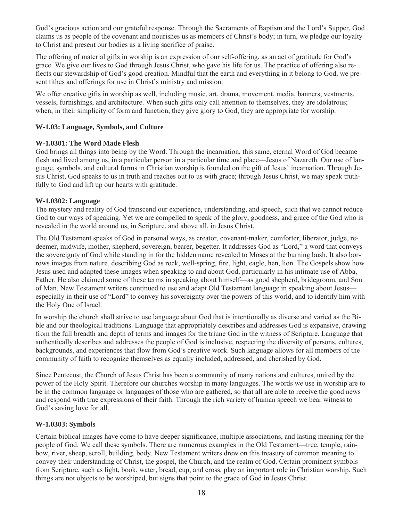God's gracious action and our grateful response. Through the Sacraments of Baptism and the Lord's Supper, God claims us as people of the covenant and nourishes us as members of Christ's body; in turn, we pledge our loyalty to Christ and present our bodies as a living sacrifice of praise.

The offering of material gifts in worship is an expression of our self-offering, as an act of gratitude for God's grace. We give our lives to God through Jesus Christ, who gave his life for us. The practice of offering also reflects our stewardship of God's good creation. Mindful that the earth and everything in it belong to God, we present tithes and offerings for use in Christ's ministry and mission.

We offer creative gifts in worship as well, including music, art, drama, movement, media, banners, vestments, vessels, furnishings, and architecture. When such gifts only call attention to themselves, they are idolatrous; when, in their simplicity of form and function, they give glory to God, they are appropriate for worship.

# **W-1.03: Language, Symbols, and Culture**

#### **W-1.0301: The Word Made Flesh**

God brings all things into being by the Word. Through the incarnation, this same, eternal Word of God became flesh and lived among us, in a particular person in a particular time and place—Jesus of Nazareth. Our use of language, symbols, and cultural forms in Christian worship is founded on the gift of Jesus' incarnation. Through Jesus Christ, God speaks to us in truth and reaches out to us with grace; through Jesus Christ, we may speak truthfully to God and lift up our hearts with gratitude.

#### **W-1.0302: Language**

The mystery and reality of God transcend our experience, understanding, and speech, such that we cannot reduce God to our ways of speaking. Yet we are compelled to speak of the glory, goodness, and grace of the God who is revealed in the world around us, in Scripture, and above all, in Jesus Christ.

The Old Testament speaks of God in personal ways, as creator, covenant-maker, comforter, liberator, judge, redeemer, midwife, mother, shepherd, sovereign, bearer, begetter. It addresses God as "Lord," a word that conveys the sovereignty of God while standing in for the hidden name revealed to Moses at the burning bush. It also borrows images from nature, describing God as rock, well-spring, fire, light, eagle, hen, lion. The Gospels show how Jesus used and adapted these images when speaking to and about God, particularly in his intimate use of Abba, Father. He also claimed some of these terms in speaking about himself—as good shepherd, bridegroom, and Son of Man. New Testament writers continued to use and adapt Old Testament language in speaking about Jesus especially in their use of "Lord" to convey his sovereignty over the powers of this world, and to identify him with the Holy One of Israel.

In worship the church shall strive to use language about God that is intentionally as diverse and varied as the Bible and our theological traditions. Language that appropriately describes and addresses God is expansive, drawing from the full breadth and depth of terms and images for the triune God in the witness of Scripture. Language that authentically describes and addresses the people of God is inclusive, respecting the diversity of persons, cultures, backgrounds, and experiences that flow from God's creative work. Such language allows for all members of the community of faith to recognize themselves as equally included, addressed, and cherished by God.

Since Pentecost, the Church of Jesus Christ has been a community of many nations and cultures, united by the power of the Holy Spirit. Therefore our churches worship in many languages. The words we use in worship are to be in the common language or languages of those who are gathered, so that all are able to receive the good news and respond with true expressions of their faith. Through the rich variety of human speech we bear witness to God's saving love for all.

#### **W-1.0303: Symbols**

Certain biblical images have come to have deeper significance, multiple associations, and lasting meaning for the people of God. We call these symbols. There are numerous examples in the Old Testament—tree, temple, rainbow, river, sheep, scroll, building, body. New Testament writers drew on this treasury of common meaning to convey their understanding of Christ, the gospel, the Church, and the realm of God. Certain prominent symbols from Scripture, such as light, book, water, bread, cup, and cross, play an important role in Christian worship. Such things are not objects to be worshiped, but signs that point to the grace of God in Jesus Christ.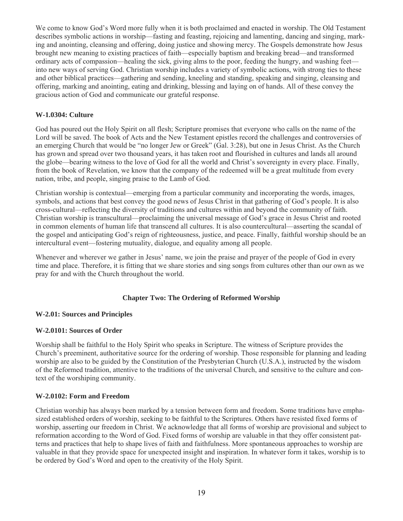We come to know God's Word more fully when it is both proclaimed and enacted in worship. The Old Testament describes symbolic actions in worship—fasting and feasting, rejoicing and lamenting, dancing and singing, marking and anointing, cleansing and offering, doing justice and showing mercy. The Gospels demonstrate how Jesus brought new meaning to existing practices of faith—especially baptism and breaking bread—and transformed ordinary acts of compassion—healing the sick, giving alms to the poor, feeding the hungry, and washing feet into new ways of serving God. Christian worship includes a variety of symbolic actions, with strong ties to these and other biblical practices—gathering and sending, kneeling and standing, speaking and singing, cleansing and offering, marking and anointing, eating and drinking, blessing and laying on of hands. All of these convey the gracious action of God and communicate our grateful response.

#### **W-1.0304: Culture**

God has poured out the Holy Spirit on all flesh; Scripture promises that everyone who calls on the name of the Lord will be saved. The book of Acts and the New Testament epistles record the challenges and controversies of an emerging Church that would be "no longer Jew or Greek" (Gal. 3:28), but one in Jesus Christ. As the Church has grown and spread over two thousand years, it has taken root and flourished in cultures and lands all around the globe—bearing witness to the love of God for all the world and Christ's sovereignty in every place. Finally, from the book of Revelation, we know that the company of the redeemed will be a great multitude from every nation, tribe, and people, singing praise to the Lamb of God.

Christian worship is contextual—emerging from a particular community and incorporating the words, images, symbols, and actions that best convey the good news of Jesus Christ in that gathering of God's people. It is also cross-cultural—reflecting the diversity of traditions and cultures within and beyond the community of faith. Christian worship is transcultural—proclaiming the universal message of God's grace in Jesus Christ and rooted in common elements of human life that transcend all cultures. It is also countercultural—asserting the scandal of the gospel and anticipating God's reign of righteousness, justice, and peace. Finally, faithful worship should be an intercultural event—fostering mutuality, dialogue, and equality among all people.

Whenever and wherever we gather in Jesus' name, we join the praise and prayer of the people of God in every time and place. Therefore, it is fitting that we share stories and sing songs from cultures other than our own as we pray for and with the Church throughout the world.

#### **Chapter Two: The Ordering of Reformed Worship**

#### **W-2.01: Sources and Principles**

#### **W-2.0101: Sources of Order**

Worship shall be faithful to the Holy Spirit who speaks in Scripture. The witness of Scripture provides the Church's preeminent, authoritative source for the ordering of worship. Those responsible for planning and leading worship are also to be guided by the Constitution of the Presbyterian Church (U.S.A.), instructed by the wisdom of the Reformed tradition, attentive to the traditions of the universal Church, and sensitive to the culture and context of the worshiping community.

#### **W-2.0102: Form and Freedom**

Christian worship has always been marked by a tension between form and freedom. Some traditions have emphasized established orders of worship, seeking to be faithful to the Scriptures. Others have resisted fixed forms of worship, asserting our freedom in Christ. We acknowledge that all forms of worship are provisional and subject to reformation according to the Word of God. Fixed forms of worship are valuable in that they offer consistent patterns and practices that help to shape lives of faith and faithfulness. More spontaneous approaches to worship are valuable in that they provide space for unexpected insight and inspiration. In whatever form it takes, worship is to be ordered by God's Word and open to the creativity of the Holy Spirit.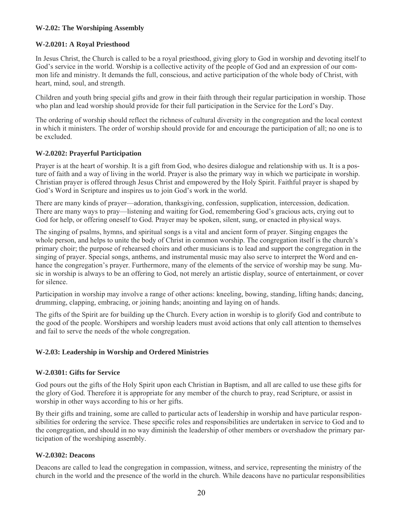# **W-2.02: The Worshiping Assembly**

#### **W-2.0201: A Royal Priesthood**

In Jesus Christ, the Church is called to be a royal priesthood, giving glory to God in worship and devoting itself to God's service in the world. Worship is a collective activity of the people of God and an expression of our common life and ministry. It demands the full, conscious, and active participation of the whole body of Christ, with heart, mind, soul, and strength.

Children and youth bring special gifts and grow in their faith through their regular participation in worship. Those who plan and lead worship should provide for their full participation in the Service for the Lord's Day.

The ordering of worship should reflect the richness of cultural diversity in the congregation and the local context in which it ministers. The order of worship should provide for and encourage the participation of all; no one is to be excluded.

#### **W-2.0202: Prayerful Participation**

Prayer is at the heart of worship. It is a gift from God, who desires dialogue and relationship with us. It is a posture of faith and a way of living in the world. Prayer is also the primary way in which we participate in worship. Christian prayer is offered through Jesus Christ and empowered by the Holy Spirit. Faithful prayer is shaped by God's Word in Scripture and inspires us to join God's work in the world.

There are many kinds of prayer—adoration, thanksgiving, confession, supplication, intercession, dedication. There are many ways to pray—listening and waiting for God, remembering God's gracious acts, crying out to God for help, or offering oneself to God. Prayer may be spoken, silent, sung, or enacted in physical ways.

The singing of psalms, hymns, and spiritual songs is a vital and ancient form of prayer. Singing engages the whole person, and helps to unite the body of Christ in common worship. The congregation itself is the church's primary choir; the purpose of rehearsed choirs and other musicians is to lead and support the congregation in the singing of prayer. Special songs, anthems, and instrumental music may also serve to interpret the Word and enhance the congregation's prayer. Furthermore, many of the elements of the service of worship may be sung. Music in worship is always to be an offering to God, not merely an artistic display, source of entertainment, or cover for silence.

Participation in worship may involve a range of other actions: kneeling, bowing, standing, lifting hands; dancing, drumming, clapping, embracing, or joining hands; anointing and laying on of hands.

The gifts of the Spirit are for building up the Church. Every action in worship is to glorify God and contribute to the good of the people. Worshipers and worship leaders must avoid actions that only call attention to themselves and fail to serve the needs of the whole congregation.

#### **W-2.03: Leadership in Worship and Ordered Ministries**

#### **W-2.0301: Gifts for Service**

God pours out the gifts of the Holy Spirit upon each Christian in Baptism, and all are called to use these gifts for the glory of God. Therefore it is appropriate for any member of the church to pray, read Scripture, or assist in worship in other ways according to his or her gifts.

By their gifts and training, some are called to particular acts of leadership in worship and have particular responsibilities for ordering the service. These specific roles and responsibilities are undertaken in service to God and to the congregation, and should in no way diminish the leadership of other members or overshadow the primary participation of the worshiping assembly.

#### **W-2.0302: Deacons**

Deacons are called to lead the congregation in compassion, witness, and service, representing the ministry of the church in the world and the presence of the world in the church. While deacons have no particular responsibilities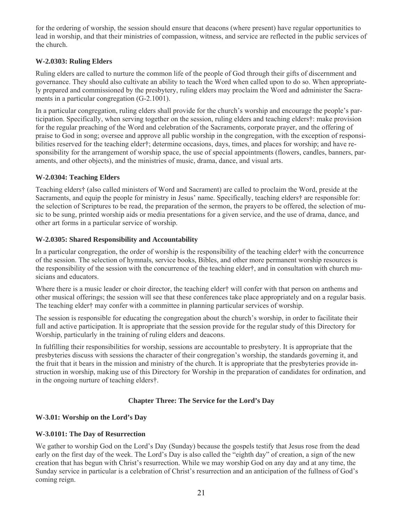for the ordering of worship, the session should ensure that deacons (where present) have regular opportunities to lead in worship, and that their ministries of compassion, witness, and service are reflected in the public services of the church.

# **W-2.0303: Ruling Elders**

Ruling elders are called to nurture the common life of the people of God through their gifts of discernment and governance. They should also cultivate an ability to teach the Word when called upon to do so. When appropriately prepared and commissioned by the presbytery, ruling elders may proclaim the Word and administer the Sacraments in a particular congregation (G-2.1001).

In a particular congregation, ruling elders shall provide for the church's worship and encourage the people's participation. Specifically, when serving together on the session, ruling elders and teaching elders†: make provision for the regular preaching of the Word and celebration of the Sacraments, corporate prayer, and the offering of praise to God in song; oversee and approve all public worship in the congregation, with the exception of responsibilities reserved for the teaching elder†; determine occasions, days, times, and places for worship; and have responsibility for the arrangement of worship space, the use of special appointments (flowers, candles, banners, paraments, and other objects), and the ministries of music, drama, dance, and visual arts.

# **W-2.0304: Teaching Elders**

Teaching elders† (also called ministers of Word and Sacrament) are called to proclaim the Word, preside at the Sacraments, and equip the people for ministry in Jesus' name. Specifically, teaching elders† are responsible for: the selection of Scriptures to be read, the preparation of the sermon, the prayers to be offered, the selection of music to be sung, printed worship aids or media presentations for a given service, and the use of drama, dance, and other art forms in a particular service of worship.

# **W-2.0305: Shared Responsibility and Accountability**

In a particular congregation, the order of worship is the responsibility of the teaching elder† with the concurrence of the session. The selection of hymnals, service books, Bibles, and other more permanent worship resources is the responsibility of the session with the concurrence of the teaching elder†, and in consultation with church musicians and educators.

Where there is a music leader or choir director, the teaching elder† will confer with that person on anthems and other musical offerings; the session will see that these conferences take place appropriately and on a regular basis. The teaching elder† may confer with a committee in planning particular services of worship.

The session is responsible for educating the congregation about the church's worship, in order to facilitate their full and active participation. It is appropriate that the session provide for the regular study of this Directory for Worship, particularly in the training of ruling elders and deacons.

In fulfilling their responsibilities for worship, sessions are accountable to presbytery. It is appropriate that the presbyteries discuss with sessions the character of their congregation's worship, the standards governing it, and the fruit that it bears in the mission and ministry of the church. It is appropriate that the presbyteries provide instruction in worship, making use of this Directory for Worship in the preparation of candidates for ordination, and in the ongoing nurture of teaching elders†.

# **Chapter Three: The Service for the Lord's Day**

# **W-3.01: Worship on the Lord's Day**

# **W-3.0101: The Day of Resurrection**

We gather to worship God on the Lord's Day (Sunday) because the gospels testify that Jesus rose from the dead early on the first day of the week. The Lord's Day is also called the "eighth day" of creation, a sign of the new creation that has begun with Christ's resurrection. While we may worship God on any day and at any time, the Sunday service in particular is a celebration of Christ's resurrection and an anticipation of the fullness of God's coming reign.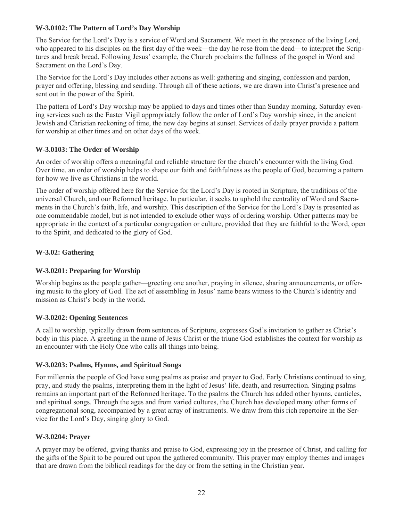# **W-3.0102: The Pattern of Lord's Day Worship**

The Service for the Lord's Day is a service of Word and Sacrament. We meet in the presence of the living Lord, who appeared to his disciples on the first day of the week—the day he rose from the dead—to interpret the Scriptures and break bread. Following Jesus' example, the Church proclaims the fullness of the gospel in Word and Sacrament on the Lord's Day.

The Service for the Lord's Day includes other actions as well: gathering and singing, confession and pardon, prayer and offering, blessing and sending. Through all of these actions, we are drawn into Christ's presence and sent out in the power of the Spirit.

The pattern of Lord's Day worship may be applied to days and times other than Sunday morning. Saturday evening services such as the Easter Vigil appropriately follow the order of Lord's Day worship since, in the ancient Jewish and Christian reckoning of time, the new day begins at sunset. Services of daily prayer provide a pattern for worship at other times and on other days of the week.

#### **W-3.0103: The Order of Worship**

An order of worship offers a meaningful and reliable structure for the church's encounter with the living God. Over time, an order of worship helps to shape our faith and faithfulness as the people of God, becoming a pattern for how we live as Christians in the world.

The order of worship offered here for the Service for the Lord's Day is rooted in Scripture, the traditions of the universal Church, and our Reformed heritage. In particular, it seeks to uphold the centrality of Word and Sacraments in the Church's faith, life, and worship. This description of the Service for the Lord's Day is presented as one commendable model, but is not intended to exclude other ways of ordering worship. Other patterns may be appropriate in the context of a particular congregation or culture, provided that they are faithful to the Word, open to the Spirit, and dedicated to the glory of God.

# **W-3.02: Gathering**

# **W-3.0201: Preparing for Worship**

Worship begins as the people gather—greeting one another, praying in silence, sharing announcements, or offering music to the glory of God. The act of assembling in Jesus' name bears witness to the Church's identity and mission as Christ's body in the world.

#### **W-3.0202: Opening Sentences**

A call to worship, typically drawn from sentences of Scripture, expresses God's invitation to gather as Christ's body in this place. A greeting in the name of Jesus Christ or the triune God establishes the context for worship as an encounter with the Holy One who calls all things into being.

#### **W-3.0203: Psalms, Hymns, and Spiritual Songs**

For millennia the people of God have sung psalms as praise and prayer to God. Early Christians continued to sing, pray, and study the psalms, interpreting them in the light of Jesus' life, death, and resurrection. Singing psalms remains an important part of the Reformed heritage. To the psalms the Church has added other hymns, canticles, and spiritual songs. Through the ages and from varied cultures, the Church has developed many other forms of congregational song, accompanied by a great array of instruments. We draw from this rich repertoire in the Service for the Lord's Day, singing glory to God.

#### **W-3.0204: Prayer**

A prayer may be offered, giving thanks and praise to God, expressing joy in the presence of Christ, and calling for the gifts of the Spirit to be poured out upon the gathered community. This prayer may employ themes and images that are drawn from the biblical readings for the day or from the setting in the Christian year.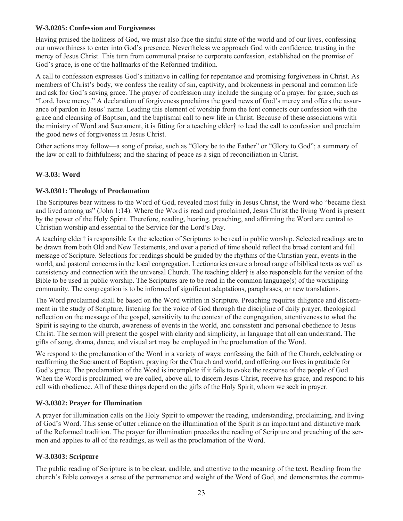# **W-3.0205: Confession and Forgiveness**

Having praised the holiness of God, we must also face the sinful state of the world and of our lives, confessing our unworthiness to enter into God's presence. Nevertheless we approach God with confidence, trusting in the mercy of Jesus Christ. This turn from communal praise to corporate confession, established on the promise of God's grace, is one of the hallmarks of the Reformed tradition.

A call to confession expresses God's initiative in calling for repentance and promising forgiveness in Christ. As members of Christ's body, we confess the reality of sin, captivity, and brokenness in personal and common life and ask for God's saving grace. The prayer of confession may include the singing of a prayer for grace, such as "Lord, have mercy." A declaration of forgiveness proclaims the good news of God's mercy and offers the assurance of pardon in Jesus' name. Leading this element of worship from the font connects our confession with the grace and cleansing of Baptism, and the baptismal call to new life in Christ. Because of these associations with the ministry of Word and Sacrament, it is fitting for a teaching elder† to lead the call to confession and proclaim the good news of forgiveness in Jesus Christ.

Other actions may follow—a song of praise, such as "Glory be to the Father" or "Glory to God"; a summary of the law or call to faithfulness; and the sharing of peace as a sign of reconciliation in Christ.

#### **W-3.03: Word**

#### **W-3.0301: Theology of Proclamation**

The Scriptures bear witness to the Word of God, revealed most fully in Jesus Christ, the Word who "became flesh and lived among us" (John 1:14). Where the Word is read and proclaimed, Jesus Christ the living Word is present by the power of the Holy Spirit. Therefore, reading, hearing, preaching, and affirming the Word are central to Christian worship and essential to the Service for the Lord's Day.

A teaching elder† is responsible for the selection of Scriptures to be read in public worship. Selected readings are to be drawn from both Old and New Testaments, and over a period of time should reflect the broad content and full message of Scripture. Selections for readings should be guided by the rhythms of the Christian year, events in the world, and pastoral concerns in the local congregation. Lectionaries ensure a broad range of biblical texts as well as consistency and connection with the universal Church. The teaching elder† is also responsible for the version of the Bible to be used in public worship. The Scriptures are to be read in the common language(s) of the worshiping community. The congregation is to be informed of significant adaptations, paraphrases, or new translations.

The Word proclaimed shall be based on the Word written in Scripture. Preaching requires diligence and discernment in the study of Scripture, listening for the voice of God through the discipline of daily prayer, theological reflection on the message of the gospel, sensitivity to the context of the congregation, attentiveness to what the Spirit is saying to the church, awareness of events in the world, and consistent and personal obedience to Jesus Christ. The sermon will present the gospel with clarity and simplicity, in language that all can understand. The gifts of song, drama, dance, and visual art may be employed in the proclamation of the Word.

We respond to the proclamation of the Word in a variety of ways: confessing the faith of the Church, celebrating or reaffirming the Sacrament of Baptism, praying for the Church and world, and offering our lives in gratitude for God's grace. The proclamation of the Word is incomplete if it fails to evoke the response of the people of God. When the Word is proclaimed, we are called, above all, to discern Jesus Christ, receive his grace, and respond to his call with obedience. All of these things depend on the gifts of the Holy Spirit, whom we seek in prayer.

#### **W-3.0302: Prayer for Illumination**

A prayer for illumination calls on the Holy Spirit to empower the reading, understanding, proclaiming, and living of God's Word. This sense of utter reliance on the illumination of the Spirit is an important and distinctive mark of the Reformed tradition. The prayer for illumination precedes the reading of Scripture and preaching of the sermon and applies to all of the readings, as well as the proclamation of the Word.

#### **W-3.0303: Scripture**

The public reading of Scripture is to be clear, audible, and attentive to the meaning of the text. Reading from the church's Bible conveys a sense of the permanence and weight of the Word of God, and demonstrates the commu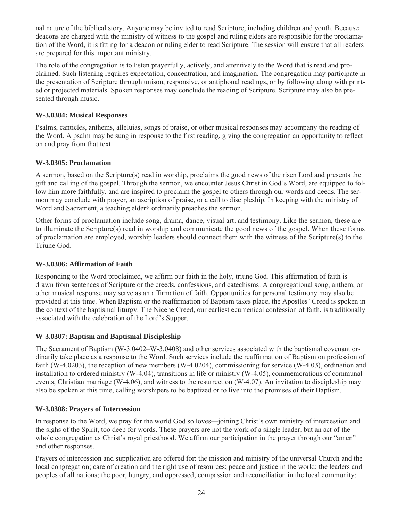nal nature of the biblical story. Anyone may be invited to read Scripture, including children and youth. Because deacons are charged with the ministry of witness to the gospel and ruling elders are responsible for the proclamation of the Word, it is fitting for a deacon or ruling elder to read Scripture. The session will ensure that all readers are prepared for this important ministry.

The role of the congregation is to listen prayerfully, actively, and attentively to the Word that is read and proclaimed. Such listening requires expectation, concentration, and imagination. The congregation may participate in the presentation of Scripture through unison, responsive, or antiphonal readings, or by following along with printed or projected materials. Spoken responses may conclude the reading of Scripture. Scripture may also be presented through music.

# **W-3.0304: Musical Responses**

Psalms, canticles, anthems, alleluias, songs of praise, or other musical responses may accompany the reading of the Word. A psalm may be sung in response to the first reading, giving the congregation an opportunity to reflect on and pray from that text.

# **W-3.0305: Proclamation**

A sermon, based on the Scripture(s) read in worship, proclaims the good news of the risen Lord and presents the gift and calling of the gospel. Through the sermon, we encounter Jesus Christ in God's Word, are equipped to follow him more faithfully, and are inspired to proclaim the gospel to others through our words and deeds. The sermon may conclude with prayer, an ascription of praise, or a call to discipleship. In keeping with the ministry of Word and Sacrament, a teaching elder† ordinarily preaches the sermon.

Other forms of proclamation include song, drama, dance, visual art, and testimony. Like the sermon, these are to illuminate the Scripture(s) read in worship and communicate the good news of the gospel. When these forms of proclamation are employed, worship leaders should connect them with the witness of the Scripture(s) to the Triune God.

# **W-3.0306: Affirmation of Faith**

Responding to the Word proclaimed, we affirm our faith in the holy, triune God. This affirmation of faith is drawn from sentences of Scripture or the creeds, confessions, and catechisms. A congregational song, anthem, or other musical response may serve as an affirmation of faith. Opportunities for personal testimony may also be provided at this time. When Baptism or the reaffirmation of Baptism takes place, the Apostles' Creed is spoken in the context of the baptismal liturgy. The Nicene Creed, our earliest ecumenical confession of faith, is traditionally associated with the celebration of the Lord's Supper.

# **W-3.0307: Baptism and Baptismal Discipleship**

The Sacrament of Baptism (W-3.0402–W-3.0408) and other services associated with the baptismal covenant ordinarily take place as a response to the Word. Such services include the reaffirmation of Baptism on profession of faith (W-4.0203), the reception of new members (W-4.0204), commissioning for service (W-4.03), ordination and installation to ordered ministry (W-4.04), transitions in life or ministry (W-4.05), commemorations of communal events, Christian marriage (W-4.06), and witness to the resurrection (W-4.07). An invitation to discipleship may also be spoken at this time, calling worshipers to be baptized or to live into the promises of their Baptism.

#### **W-3.0308: Prayers of Intercession**

In response to the Word, we pray for the world God so loves—joining Christ's own ministry of intercession and the sighs of the Spirit, too deep for words. These prayers are not the work of a single leader, but an act of the whole congregation as Christ's royal priesthood. We affirm our participation in the prayer through our "amen" and other responses.

Prayers of intercession and supplication are offered for: the mission and ministry of the universal Church and the local congregation; care of creation and the right use of resources; peace and justice in the world; the leaders and peoples of all nations; the poor, hungry, and oppressed; compassion and reconciliation in the local community;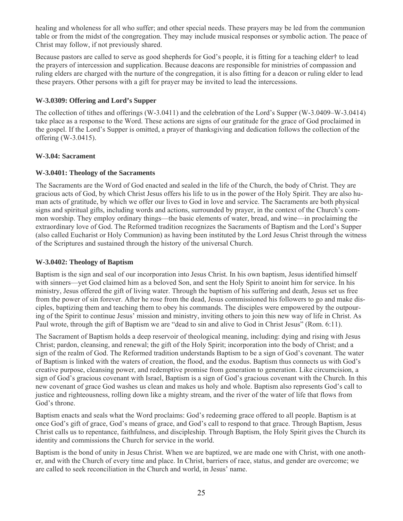healing and wholeness for all who suffer; and other special needs. These prayers may be led from the communion table or from the midst of the congregation. They may include musical responses or symbolic action. The peace of Christ may follow, if not previously shared.

Because pastors are called to serve as good shepherds for God's people, it is fitting for a teaching elder† to lead the prayers of intercession and supplication. Because deacons are responsible for ministries of compassion and ruling elders are charged with the nurture of the congregation, it is also fitting for a deacon or ruling elder to lead these prayers. Other persons with a gift for prayer may be invited to lead the intercessions.

#### **W-3.0309: Offering and Lord's Supper**

The collection of tithes and offerings (W-3.0411) and the celebration of the Lord's Supper (W-3.0409–W-3.0414) take place as a response to the Word. These actions are signs of our gratitude for the grace of God proclaimed in the gospel. If the Lord's Supper is omitted, a prayer of thanksgiving and dedication follows the collection of the offering (W-3.0415).

#### **W-3.04: Sacrament**

#### **W-3.0401: Theology of the Sacraments**

The Sacraments are the Word of God enacted and sealed in the life of the Church, the body of Christ. They are gracious acts of God, by which Christ Jesus offers his life to us in the power of the Holy Spirit. They are also human acts of gratitude, by which we offer our lives to God in love and service. The Sacraments are both physical signs and spiritual gifts, including words and actions, surrounded by prayer, in the context of the Church's common worship. They employ ordinary things—the basic elements of water, bread, and wine—in proclaiming the extraordinary love of God. The Reformed tradition recognizes the Sacraments of Baptism and the Lord's Supper (also called Eucharist or Holy Communion) as having been instituted by the Lord Jesus Christ through the witness of the Scriptures and sustained through the history of the universal Church.

# **W-3.0402: Theology of Baptism**

Baptism is the sign and seal of our incorporation into Jesus Christ. In his own baptism, Jesus identified himself with sinners—yet God claimed him as a beloved Son, and sent the Holy Spirit to anoint him for service. In his ministry, Jesus offered the gift of living water. Through the baptism of his suffering and death, Jesus set us free from the power of sin forever. After he rose from the dead, Jesus commissioned his followers to go and make disciples, baptizing them and teaching them to obey his commands. The disciples were empowered by the outpouring of the Spirit to continue Jesus' mission and ministry, inviting others to join this new way of life in Christ. As Paul wrote, through the gift of Baptism we are "dead to sin and alive to God in Christ Jesus" (Rom. 6:11).

The Sacrament of Baptism holds a deep reservoir of theological meaning, including: dying and rising with Jesus Christ; pardon, cleansing, and renewal; the gift of the Holy Spirit; incorporation into the body of Christ; and a sign of the realm of God. The Reformed tradition understands Baptism to be a sign of God's covenant. The water of Baptism is linked with the waters of creation, the flood, and the exodus. Baptism thus connects us with God's creative purpose, cleansing power, and redemptive promise from generation to generation. Like circumcision, a sign of God's gracious covenant with Israel, Baptism is a sign of God's gracious covenant with the Church. In this new covenant of grace God washes us clean and makes us holy and whole. Baptism also represents God's call to justice and righteousness, rolling down like a mighty stream, and the river of the water of life that flows from God's throne.

Baptism enacts and seals what the Word proclaims: God's redeeming grace offered to all people. Baptism is at once God's gift of grace, God's means of grace, and God's call to respond to that grace. Through Baptism, Jesus Christ calls us to repentance, faithfulness, and discipleship. Through Baptism, the Holy Spirit gives the Church its identity and commissions the Church for service in the world.

Baptism is the bond of unity in Jesus Christ. When we are baptized, we are made one with Christ, with one another, and with the Church of every time and place. In Christ, barriers of race, status, and gender are overcome; we are called to seek reconciliation in the Church and world, in Jesus' name.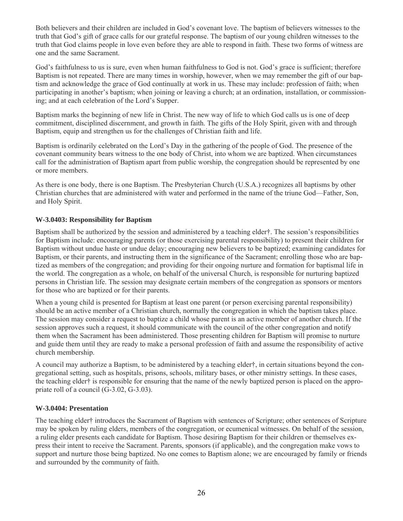Both believers and their children are included in God's covenant love. The baptism of believers witnesses to the truth that God's gift of grace calls for our grateful response. The baptism of our young children witnesses to the truth that God claims people in love even before they are able to respond in faith. These two forms of witness are one and the same Sacrament.

God's faithfulness to us is sure, even when human faithfulness to God is not. God's grace is sufficient; therefore Baptism is not repeated. There are many times in worship, however, when we may remember the gift of our baptism and acknowledge the grace of God continually at work in us. These may include: profession of faith; when participating in another's baptism; when joining or leaving a church; at an ordination, installation, or commissioning; and at each celebration of the Lord's Supper.

Baptism marks the beginning of new life in Christ. The new way of life to which God calls us is one of deep commitment, disciplined discernment, and growth in faith. The gifts of the Holy Spirit, given with and through Baptism, equip and strengthen us for the challenges of Christian faith and life.

Baptism is ordinarily celebrated on the Lord's Day in the gathering of the people of God. The presence of the covenant community bears witness to the one body of Christ, into whom we are baptized. When circumstances call for the administration of Baptism apart from public worship, the congregation should be represented by one or more members.

As there is one body, there is one Baptism. The Presbyterian Church (U.S.A.) recognizes all baptisms by other Christian churches that are administered with water and performed in the name of the triune God—Father, Son, and Holy Spirit.

# **W-3.0403: Responsibility for Baptism**

Baptism shall be authorized by the session and administered by a teaching elder†. The session's responsibilities for Baptism include: encouraging parents (or those exercising parental responsibility) to present their children for Baptism without undue haste or undue delay; encouraging new believers to be baptized; examining candidates for Baptism, or their parents, and instructing them in the significance of the Sacrament; enrolling those who are baptized as members of the congregation; and providing for their ongoing nurture and formation for baptismal life in the world. The congregation as a whole, on behalf of the universal Church, is responsible for nurturing baptized persons in Christian life. The session may designate certain members of the congregation as sponsors or mentors for those who are baptized or for their parents.

When a young child is presented for Baptism at least one parent (or person exercising parental responsibility) should be an active member of a Christian church, normally the congregation in which the baptism takes place. The session may consider a request to baptize a child whose parent is an active member of another church. If the session approves such a request, it should communicate with the council of the other congregation and notify them when the Sacrament has been administered. Those presenting children for Baptism will promise to nurture and guide them until they are ready to make a personal profession of faith and assume the responsibility of active church membership.

A council may authorize a Baptism, to be administered by a teaching elder†, in certain situations beyond the congregational setting, such as hospitals, prisons, schools, military bases, or other ministry settings. In these cases, the teaching elder† is responsible for ensuring that the name of the newly baptized person is placed on the appropriate roll of a council (G-3.02, G-3.03).

#### **W-3.0404: Presentation**

The teaching elder† introduces the Sacrament of Baptism with sentences of Scripture; other sentences of Scripture may be spoken by ruling elders, members of the congregation, or ecumenical witnesses. On behalf of the session, a ruling elder presents each candidate for Baptism. Those desiring Baptism for their children or themselves express their intent to receive the Sacrament. Parents, sponsors (if applicable), and the congregation make vows to support and nurture those being baptized. No one comes to Baptism alone; we are encouraged by family or friends and surrounded by the community of faith.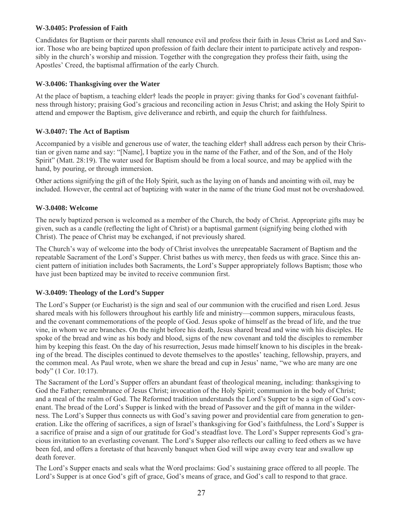### **W-3.0405: Profession of Faith**

Candidates for Baptism or their parents shall renounce evil and profess their faith in Jesus Christ as Lord and Savior. Those who are being baptized upon profession of faith declare their intent to participate actively and responsibly in the church's worship and mission. Together with the congregation they profess their faith, using the Apostles' Creed, the baptismal affirmation of the early Church.

# **W-3.0406: Thanksgiving over the Water**

At the place of baptism, a teaching elder† leads the people in prayer: giving thanks for God's covenant faithfulness through history; praising God's gracious and reconciling action in Jesus Christ; and asking the Holy Spirit to attend and empower the Baptism, give deliverance and rebirth, and equip the church for faithfulness.

# **W-3.0407: The Act of Baptism**

Accompanied by a visible and generous use of water, the teaching elder† shall address each person by their Christian or given name and say: "[Name], I baptize you in the name of the Father, and of the Son, and of the Holy Spirit" (Matt. 28:19). The water used for Baptism should be from a local source, and may be applied with the hand, by pouring, or through immersion.

Other actions signifying the gift of the Holy Spirit, such as the laying on of hands and anointing with oil, may be included. However, the central act of baptizing with water in the name of the triune God must not be overshadowed.

#### **W-3.0408: Welcome**

The newly baptized person is welcomed as a member of the Church, the body of Christ. Appropriate gifts may be given, such as a candle (reflecting the light of Christ) or a baptismal garment (signifying being clothed with Christ). The peace of Christ may be exchanged, if not previously shared.

The Church's way of welcome into the body of Christ involves the unrepeatable Sacrament of Baptism and the repeatable Sacrament of the Lord's Supper. Christ bathes us with mercy, then feeds us with grace. Since this ancient pattern of initiation includes both Sacraments, the Lord's Supper appropriately follows Baptism; those who have just been baptized may be invited to receive communion first.

# **W-3.0409: Theology of the Lord's Supper**

The Lord's Supper (or Eucharist) is the sign and seal of our communion with the crucified and risen Lord. Jesus shared meals with his followers throughout his earthly life and ministry—common suppers, miraculous feasts, and the covenant commemorations of the people of God. Jesus spoke of himself as the bread of life, and the true vine, in whom we are branches. On the night before his death, Jesus shared bread and wine with his disciples. He spoke of the bread and wine as his body and blood, signs of the new covenant and told the disciples to remember him by keeping this feast. On the day of his resurrection, Jesus made himself known to his disciples in the breaking of the bread. The disciples continued to devote themselves to the apostles' teaching, fellowship, prayers, and the common meal. As Paul wrote, when we share the bread and cup in Jesus' name, "we who are many are one body" (1 Cor. 10:17).

The Sacrament of the Lord's Supper offers an abundant feast of theological meaning, including: thanksgiving to God the Father; remembrance of Jesus Christ; invocation of the Holy Spirit; communion in the body of Christ; and a meal of the realm of God. The Reformed tradition understands the Lord's Supper to be a sign of God's covenant. The bread of the Lord's Supper is linked with the bread of Passover and the gift of manna in the wilderness. The Lord's Supper thus connects us with God's saving power and providential care from generation to generation. Like the offering of sacrifices, a sign of Israel's thanksgiving for God's faithfulness, the Lord's Supper is a sacrifice of praise and a sign of our gratitude for God's steadfast love. The Lord's Supper represents God's gracious invitation to an everlasting covenant. The Lord's Supper also reflects our calling to feed others as we have been fed, and offers a foretaste of that heavenly banquet when God will wipe away every tear and swallow up death forever.

The Lord's Supper enacts and seals what the Word proclaims: God's sustaining grace offered to all people. The Lord's Supper is at once God's gift of grace, God's means of grace, and God's call to respond to that grace.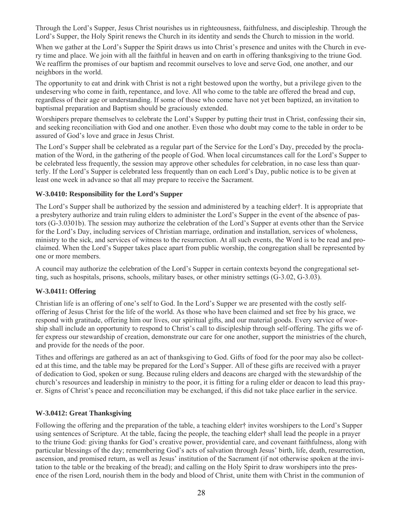Through the Lord's Supper, Jesus Christ nourishes us in righteousness, faithfulness, and discipleship. Through the Lord's Supper, the Holy Spirit renews the Church in its identity and sends the Church to mission in the world.

When we gather at the Lord's Supper the Spirit draws us into Christ's presence and unites with the Church in every time and place. We join with all the faithful in heaven and on earth in offering thanksgiving to the triune God. We reaffirm the promises of our baptism and recommit ourselves to love and serve God, one another, and our neighbors in the world.

The opportunity to eat and drink with Christ is not a right bestowed upon the worthy, but a privilege given to the undeserving who come in faith, repentance, and love. All who come to the table are offered the bread and cup, regardless of their age or understanding. If some of those who come have not yet been baptized, an invitation to baptismal preparation and Baptism should be graciously extended.

Worshipers prepare themselves to celebrate the Lord's Supper by putting their trust in Christ, confessing their sin, and seeking reconciliation with God and one another. Even those who doubt may come to the table in order to be assured of God's love and grace in Jesus Christ.

The Lord's Supper shall be celebrated as a regular part of the Service for the Lord's Day, preceded by the proclamation of the Word, in the gathering of the people of God. When local circumstances call for the Lord's Supper to be celebrated less frequently, the session may approve other schedules for celebration, in no case less than quarterly. If the Lord's Supper is celebrated less frequently than on each Lord's Day, public notice is to be given at least one week in advance so that all may prepare to receive the Sacrament.

# **W-3.0410: Responsibility for the Lord's Supper**

The Lord's Supper shall be authorized by the session and administered by a teaching elder†. It is appropriate that a presbytery authorize and train ruling elders to administer the Lord's Supper in the event of the absence of pastors (G-3.0301b). The session may authorize the celebration of the Lord's Supper at events other than the Service for the Lord's Day, including services of Christian marriage, ordination and installation, services of wholeness, ministry to the sick, and services of witness to the resurrection. At all such events, the Word is to be read and proclaimed. When the Lord's Supper takes place apart from public worship, the congregation shall be represented by one or more members.

A council may authorize the celebration of the Lord's Supper in certain contexts beyond the congregational setting, such as hospitals, prisons, schools, military bases, or other ministry settings (G-3.02, G-3.03).

# **W-3.0411: Offering**

Christian life is an offering of one's self to God. In the Lord's Supper we are presented with the costly selfoffering of Jesus Christ for the life of the world. As those who have been claimed and set free by his grace, we respond with gratitude, offering him our lives, our spiritual gifts, and our material goods. Every service of worship shall include an opportunity to respond to Christ's call to discipleship through self-offering. The gifts we offer express our stewardship of creation, demonstrate our care for one another, support the ministries of the church, and provide for the needs of the poor.

Tithes and offerings are gathered as an act of thanksgiving to God. Gifts of food for the poor may also be collected at this time, and the table may be prepared for the Lord's Supper. All of these gifts are received with a prayer of dedication to God, spoken or sung. Because ruling elders and deacons are charged with the stewardship of the church's resources and leadership in ministry to the poor, it is fitting for a ruling elder or deacon to lead this prayer. Signs of Christ's peace and reconciliation may be exchanged, if this did not take place earlier in the service.

# **W-3.0412: Great Thanksgiving**

Following the offering and the preparation of the table, a teaching elder† invites worshipers to the Lord's Supper using sentences of Scripture. At the table, facing the people, the teaching elder† shall lead the people in a prayer to the triune God: giving thanks for God's creative power, providential care, and covenant faithfulness, along with particular blessings of the day; remembering God's acts of salvation through Jesus' birth, life, death, resurrection, ascension, and promised return, as well as Jesus' institution of the Sacrament (if not otherwise spoken at the invitation to the table or the breaking of the bread); and calling on the Holy Spirit to draw worshipers into the presence of the risen Lord, nourish them in the body and blood of Christ, unite them with Christ in the communion of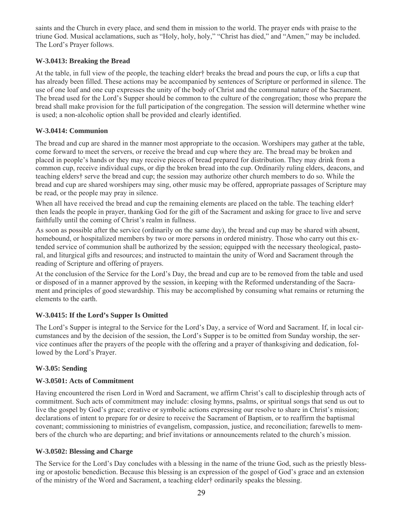saints and the Church in every place, and send them in mission to the world. The prayer ends with praise to the triune God. Musical acclamations, such as "Holy, holy, holy," "Christ has died," and "Amen," may be included. The Lord's Prayer follows.

# **W-3.0413: Breaking the Bread**

At the table, in full view of the people, the teaching elder† breaks the bread and pours the cup, or lifts a cup that has already been filled. These actions may be accompanied by sentences of Scripture or performed in silence. The use of one loaf and one cup expresses the unity of the body of Christ and the communal nature of the Sacrament. The bread used for the Lord's Supper should be common to the culture of the congregation; those who prepare the bread shall make provision for the full participation of the congregation. The session will determine whether wine is used; a non-alcoholic option shall be provided and clearly identified.

# **W-3.0414: Communion**

The bread and cup are shared in the manner most appropriate to the occasion. Worshipers may gather at the table, come forward to meet the servers, or receive the bread and cup where they are. The bread may be broken and placed in people's hands or they may receive pieces of bread prepared for distribution. They may drink from a common cup, receive individual cups, or dip the broken bread into the cup. Ordinarily ruling elders, deacons, and teaching elders† serve the bread and cup; the session may authorize other church members to do so. While the bread and cup are shared worshipers may sing, other music may be offered, appropriate passages of Scripture may be read, or the people may pray in silence.

When all have received the bread and cup the remaining elements are placed on the table. The teaching elder<sup>†</sup> then leads the people in prayer, thanking God for the gift of the Sacrament and asking for grace to live and serve faithfully until the coming of Christ's realm in fullness.

As soon as possible after the service (ordinarily on the same day), the bread and cup may be shared with absent, homebound, or hospitalized members by two or more persons in ordered ministry. Those who carry out this extended service of communion shall be authorized by the session; equipped with the necessary theological, pastoral, and liturgical gifts and resources; and instructed to maintain the unity of Word and Sacrament through the reading of Scripture and offering of prayers.

At the conclusion of the Service for the Lord's Day, the bread and cup are to be removed from the table and used or disposed of in a manner approved by the session, in keeping with the Reformed understanding of the Sacrament and principles of good stewardship. This may be accomplished by consuming what remains or returning the elements to the earth.

# **W-3.0415: If the Lord's Supper Is Omitted**

The Lord's Supper is integral to the Service for the Lord's Day, a service of Word and Sacrament. If, in local circumstances and by the decision of the session, the Lord's Supper is to be omitted from Sunday worship, the service continues after the prayers of the people with the offering and a prayer of thanksgiving and dedication, followed by the Lord's Prayer.

#### **W-3.05: Sending**

# **W-3.0501: Acts of Commitment**

Having encountered the risen Lord in Word and Sacrament, we affirm Christ's call to discipleship through acts of commitment. Such acts of commitment may include: closing hymns, psalms, or spiritual songs that send us out to live the gospel by God's grace; creative or symbolic actions expressing our resolve to share in Christ's mission; declarations of intent to prepare for or desire to receive the Sacrament of Baptism, or to reaffirm the baptismal covenant; commissioning to ministries of evangelism, compassion, justice, and reconciliation; farewells to members of the church who are departing; and brief invitations or announcements related to the church's mission.

#### **W-3.0502: Blessing and Charge**

The Service for the Lord's Day concludes with a blessing in the name of the triune God, such as the priestly blessing or apostolic benediction. Because this blessing is an expression of the gospel of God's grace and an extension of the ministry of the Word and Sacrament, a teaching elder† ordinarily speaks the blessing.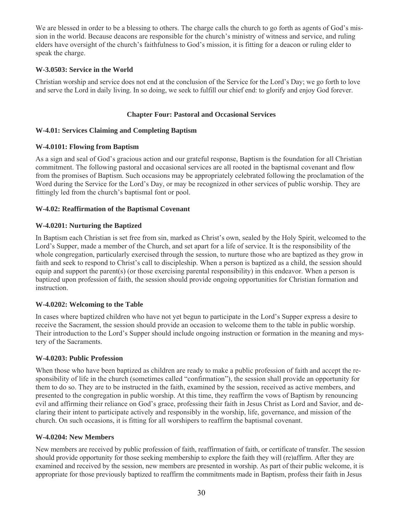We are blessed in order to be a blessing to others. The charge calls the church to go forth as agents of God's mission in the world. Because deacons are responsible for the church's ministry of witness and service, and ruling elders have oversight of the church's faithfulness to God's mission, it is fitting for a deacon or ruling elder to speak the charge.

# **W-3.0503: Service in the World**

Christian worship and service does not end at the conclusion of the Service for the Lord's Day; we go forth to love and serve the Lord in daily living. In so doing, we seek to fulfill our chief end: to glorify and enjoy God forever.

#### **Chapter Four: Pastoral and Occasional Services**

#### **W-4.01: Services Claiming and Completing Baptism**

#### **W-4.0101: Flowing from Baptism**

As a sign and seal of God's gracious action and our grateful response, Baptism is the foundation for all Christian commitment. The following pastoral and occasional services are all rooted in the baptismal covenant and flow from the promises of Baptism. Such occasions may be appropriately celebrated following the proclamation of the Word during the Service for the Lord's Day, or may be recognized in other services of public worship. They are fittingly led from the church's baptismal font or pool.

#### **W-4.02: Reaffirmation of the Baptismal Covenant**

#### **W-4.0201: Nurturing the Baptized**

In Baptism each Christian is set free from sin, marked as Christ's own, sealed by the Holy Spirit, welcomed to the Lord's Supper, made a member of the Church, and set apart for a life of service. It is the responsibility of the whole congregation, particularly exercised through the session, to nurture those who are baptized as they grow in faith and seek to respond to Christ's call to discipleship. When a person is baptized as a child, the session should equip and support the parent(s) (or those exercising parental responsibility) in this endeavor. When a person is baptized upon profession of faith, the session should provide ongoing opportunities for Christian formation and instruction.

# **W-4.0202: Welcoming to the Table**

In cases where baptized children who have not yet begun to participate in the Lord's Supper express a desire to receive the Sacrament, the session should provide an occasion to welcome them to the table in public worship. Their introduction to the Lord's Supper should include ongoing instruction or formation in the meaning and mystery of the Sacraments.

#### **W-4.0203: Public Profession**

When those who have been baptized as children are ready to make a public profession of faith and accept the responsibility of life in the church (sometimes called "confirmation"), the session shall provide an opportunity for them to do so. They are to be instructed in the faith, examined by the session, received as active members, and presented to the congregation in public worship. At this time, they reaffirm the vows of Baptism by renouncing evil and affirming their reliance on God's grace, professing their faith in Jesus Christ as Lord and Savior, and declaring their intent to participate actively and responsibly in the worship, life, governance, and mission of the church. On such occasions, it is fitting for all worshipers to reaffirm the baptismal covenant.

#### **W-4.0204: New Members**

New members are received by public profession of faith, reaffirmation of faith, or certificate of transfer. The session should provide opportunity for those seeking membership to explore the faith they will (re)affirm. After they are examined and received by the session, new members are presented in worship. As part of their public welcome, it is appropriate for those previously baptized to reaffirm the commitments made in Baptism, profess their faith in Jesus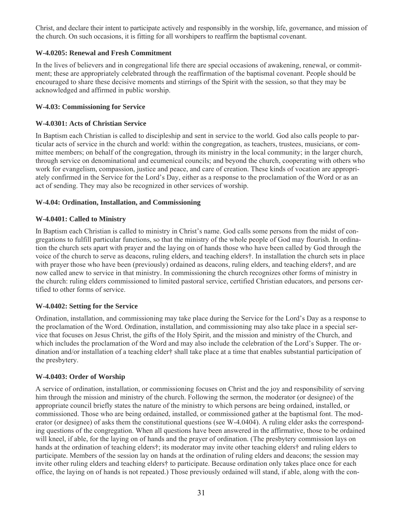Christ, and declare their intent to participate actively and responsibly in the worship, life, governance, and mission of the church. On such occasions, it is fitting for all worshipers to reaffirm the baptismal covenant.

# **W-4.0205: Renewal and Fresh Commitment**

In the lives of believers and in congregational life there are special occasions of awakening, renewal, or commitment; these are appropriately celebrated through the reaffirmation of the baptismal covenant. People should be encouraged to share these decisive moments and stirrings of the Spirit with the session, so that they may be acknowledged and affirmed in public worship.

# **W-4.03: Commissioning for Service**

# **W-4.0301: Acts of Christian Service**

In Baptism each Christian is called to discipleship and sent in service to the world. God also calls people to particular acts of service in the church and world: within the congregation, as teachers, trustees, musicians, or committee members; on behalf of the congregation, through its ministry in the local community; in the larger church, through service on denominational and ecumenical councils; and beyond the church, cooperating with others who work for evangelism, compassion, justice and peace, and care of creation. These kinds of vocation are appropriately confirmed in the Service for the Lord's Day, either as a response to the proclamation of the Word or as an act of sending. They may also be recognized in other services of worship.

# **W-4.04: Ordination, Installation, and Commissioning**

# **W-4.0401: Called to Ministry**

In Baptism each Christian is called to ministry in Christ's name. God calls some persons from the midst of congregations to fulfill particular functions, so that the ministry of the whole people of God may flourish. In ordination the church sets apart with prayer and the laying on of hands those who have been called by God through the voice of the church to serve as deacons, ruling elders, and teaching elders†. In installation the church sets in place with prayer those who have been (previously) ordained as deacons, ruling elders, and teaching elders†, and are now called anew to service in that ministry. In commissioning the church recognizes other forms of ministry in the church: ruling elders commissioned to limited pastoral service, certified Christian educators, and persons certified to other forms of service.

# **W-4.0402: Setting for the Service**

Ordination, installation, and commissioning may take place during the Service for the Lord's Day as a response to the proclamation of the Word. Ordination, installation, and commissioning may also take place in a special service that focuses on Jesus Christ, the gifts of the Holy Spirit, and the mission and ministry of the Church, and which includes the proclamation of the Word and may also include the celebration of the Lord's Supper. The ordination and/or installation of a teaching elder† shall take place at a time that enables substantial participation of the presbytery.

# **W-4.0403: Order of Worship**

A service of ordination, installation, or commissioning focuses on Christ and the joy and responsibility of serving him through the mission and ministry of the church. Following the sermon, the moderator (or designee) of the appropriate council briefly states the nature of the ministry to which persons are being ordained, installed, or commissioned. Those who are being ordained, installed, or commissioned gather at the baptismal font. The moderator (or designee) of asks them the constitutional questions (see W-4.0404). A ruling elder asks the corresponding questions of the congregation. When all questions have been answered in the affirmative, those to be ordained will kneel, if able, for the laying on of hands and the prayer of ordination. (The presbytery commission lays on hands at the ordination of teaching elders†; its moderator may invite other teaching elders† and ruling elders to participate. Members of the session lay on hands at the ordination of ruling elders and deacons; the session may invite other ruling elders and teaching elders† to participate. Because ordination only takes place once for each office, the laying on of hands is not repeated.) Those previously ordained will stand, if able, along with the con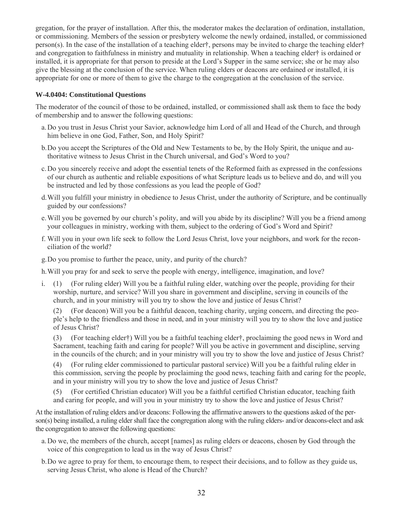gregation, for the prayer of installation. After this, the moderator makes the declaration of ordination, installation, or commissioning. Members of the session or presbytery welcome the newly ordained, installed, or commissioned person(s). In the case of the installation of a teaching elder†, persons may be invited to charge the teaching elder† and congregation to faithfulness in ministry and mutuality in relationship. When a teaching elder† is ordained or installed, it is appropriate for that person to preside at the Lord's Supper in the same service; she or he may also give the blessing at the conclusion of the service. When ruling elders or deacons are ordained or installed, it is appropriate for one or more of them to give the charge to the congregation at the conclusion of the service.

# **W-4.0404: Constitutional Questions**

The moderator of the council of those to be ordained, installed, or commissioned shall ask them to face the body of membership and to answer the following questions:

- a. Do you trust in Jesus Christ your Savior, acknowledge him Lord of all and Head of the Church, and through him believe in one God, Father, Son, and Holy Spirit?
- b. Do you accept the Scriptures of the Old and New Testaments to be, by the Holy Spirit, the unique and authoritative witness to Jesus Christ in the Church universal, and God's Word to you?
- c. Do you sincerely receive and adopt the essential tenets of the Reformed faith as expressed in the confessions of our church as authentic and reliable expositions of what Scripture leads us to believe and do, and will you be instructed and led by those confessions as you lead the people of God?
- d. Will you fulfill your ministry in obedience to Jesus Christ, under the authority of Scripture, and be continually guided by our confessions?
- e. Will you be governed by our church's polity, and will you abide by its discipline? Will you be a friend among your colleagues in ministry, working with them, subject to the ordering of God's Word and Spirit?
- f. Will you in your own life seek to follow the Lord Jesus Christ, love your neighbors, and work for the reconciliation of the world?
- g. Do you promise to further the peace, unity, and purity of the church?

h. Will you pray for and seek to serve the people with energy, intelligence, imagination, and love?

i. (1) (For ruling elder) Will you be a faithful ruling elder, watching over the people, providing for their worship, nurture, and service? Will you share in government and discipline, serving in councils of the church, and in your ministry will you try to show the love and justice of Jesus Christ?

(2) (For deacon) Will you be a faithful deacon, teaching charity, urging concern, and directing the people's help to the friendless and those in need, and in your ministry will you try to show the love and justice of Jesus Christ?

(3) (For teaching elder†) Will you be a faithful teaching elder†, proclaiming the good news in Word and Sacrament, teaching faith and caring for people? Will you be active in government and discipline, serving in the councils of the church; and in your ministry will you try to show the love and justice of Jesus Christ?

(4) (For ruling elder commissioned to particular pastoral service) Will you be a faithful ruling elder in this commission, serving the people by proclaiming the good news, teaching faith and caring for the people, and in your ministry will you try to show the love and justice of Jesus Christ?

(5) (For certified Christian educator) Will you be a faithful certified Christian educator, teaching faith and caring for people, and will you in your ministry try to show the love and justice of Jesus Christ?

At the installation of ruling elders and/or deacons: Following the affirmative answers to the questions asked of the person(s) being installed, a ruling elder shall face the congregation along with the ruling elders- and/or deacons-elect and ask the congregation to answer the following questions:

- a. Do we, the members of the church, accept [names] as ruling elders or deacons, chosen by God through the voice of this congregation to lead us in the way of Jesus Christ?
- b. Do we agree to pray for them, to encourage them, to respect their decisions, and to follow as they guide us, serving Jesus Christ, who alone is Head of the Church?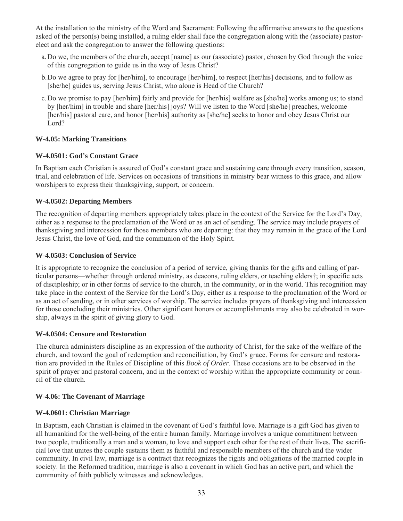At the installation to the ministry of the Word and Sacrament: Following the affirmative answers to the questions asked of the person(s) being installed, a ruling elder shall face the congregation along with the (associate) pastorelect and ask the congregation to answer the following questions:

- a. Do we, the members of the church, accept [name] as our (associate) pastor, chosen by God through the voice of this congregation to guide us in the way of Jesus Christ?
- b. Do we agree to pray for [her/him], to encourage [her/him], to respect [her/his] decisions, and to follow as [she/he] guides us, serving Jesus Christ, who alone is Head of the Church?
- c. Do we promise to pay [her/him] fairly and provide for [her/his] welfare as [she/he] works among us; to stand by [her/him] in trouble and share [her/his] joys? Will we listen to the Word [she/he] preaches, welcome [her/his] pastoral care, and honor [her/his] authority as [she/he] seeks to honor and obey Jesus Christ our Lord?

# **W-4.05: Marking Transitions**

# **W-4.0501: God's Constant Grace**

In Baptism each Christian is assured of God's constant grace and sustaining care through every transition, season, trial, and celebration of life. Services on occasions of transitions in ministry bear witness to this grace, and allow worshipers to express their thanksgiving, support, or concern.

# **W-4.0502: Departing Members**

The recognition of departing members appropriately takes place in the context of the Service for the Lord's Day, either as a response to the proclamation of the Word or as an act of sending. The service may include prayers of thanksgiving and intercession for those members who are departing: that they may remain in the grace of the Lord Jesus Christ, the love of God, and the communion of the Holy Spirit.

# **W-4.0503: Conclusion of Service**

It is appropriate to recognize the conclusion of a period of service, giving thanks for the gifts and calling of particular persons—whether through ordered ministry, as deacons, ruling elders, or teaching elders†; in specific acts of discipleship; or in other forms of service to the church, in the community, or in the world. This recognition may take place in the context of the Service for the Lord's Day, either as a response to the proclamation of the Word or as an act of sending, or in other services of worship. The service includes prayers of thanksgiving and intercession for those concluding their ministries. Other significant honors or accomplishments may also be celebrated in worship, always in the spirit of giving glory to God.

# **W-4.0504: Censure and Restoration**

The church administers discipline as an expression of the authority of Christ, for the sake of the welfare of the church, and toward the goal of redemption and reconciliation, by God's grace. Forms for censure and restoration are provided in the Rules of Discipline of this *Book of Order*. These occasions are to be observed in the spirit of prayer and pastoral concern, and in the context of worship within the appropriate community or council of the church.

# **W-4.06: The Covenant of Marriage**

# **W-4.0601: Christian Marriage**

In Baptism, each Christian is claimed in the covenant of God's faithful love. Marriage is a gift God has given to all humankind for the well-being of the entire human family. Marriage involves a unique commitment between two people, traditionally a man and a woman, to love and support each other for the rest of their lives. The sacrificial love that unites the couple sustains them as faithful and responsible members of the church and the wider community. In civil law, marriage is a contract that recognizes the rights and obligations of the married couple in society. In the Reformed tradition, marriage is also a covenant in which God has an active part, and which the community of faith publicly witnesses and acknowledges.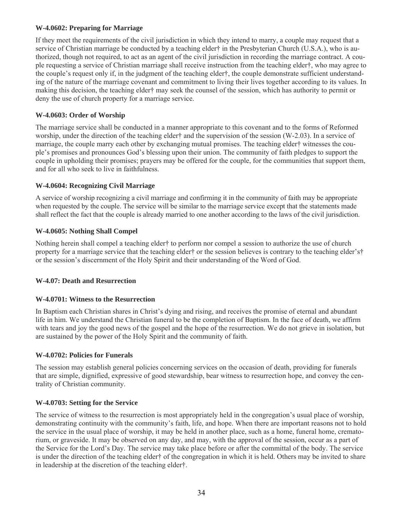#### **W-4.0602: Preparing for Marriage**

If they meet the requirements of the civil jurisdiction in which they intend to marry, a couple may request that a service of Christian marriage be conducted by a teaching elder† in the Presbyterian Church (U.S.A.), who is authorized, though not required, to act as an agent of the civil jurisdiction in recording the marriage contract. A couple requesting a service of Christian marriage shall receive instruction from the teaching elder†, who may agree to the couple's request only if, in the judgment of the teaching elder†, the couple demonstrate sufficient understanding of the nature of the marriage covenant and commitment to living their lives together according to its values. In making this decision, the teaching elder† may seek the counsel of the session, which has authority to permit or deny the use of church property for a marriage service.

# **W-4.0603: Order of Worship**

The marriage service shall be conducted in a manner appropriate to this covenant and to the forms of Reformed worship, under the direction of the teaching elder† and the supervision of the session (W-2.03). In a service of marriage, the couple marry each other by exchanging mutual promises. The teaching elder† witnesses the couple's promises and pronounces God's blessing upon their union. The community of faith pledges to support the couple in upholding their promises; prayers may be offered for the couple, for the communities that support them, and for all who seek to live in faithfulness.

# **W-4.0604: Recognizing Civil Marriage**

A service of worship recognizing a civil marriage and confirming it in the community of faith may be appropriate when requested by the couple. The service will be similar to the marriage service except that the statements made shall reflect the fact that the couple is already married to one another according to the laws of the civil jurisdiction.

#### **W-4.0605: Nothing Shall Compel**

Nothing herein shall compel a teaching elder† to perform nor compel a session to authorize the use of church property for a marriage service that the teaching elder† or the session believes is contrary to the teaching elder's† or the session's discernment of the Holy Spirit and their understanding of the Word of God.

# **W-4.07: Death and Resurrection**

#### **W-4.0701: Witness to the Resurrection**

In Baptism each Christian shares in Christ's dying and rising, and receives the promise of eternal and abundant life in him. We understand the Christian funeral to be the completion of Baptism. In the face of death, we affirm with tears and joy the good news of the gospel and the hope of the resurrection. We do not grieve in isolation, but are sustained by the power of the Holy Spirit and the community of faith.

#### **W-4.0702: Policies for Funerals**

The session may establish general policies concerning services on the occasion of death, providing for funerals that are simple, dignified, expressive of good stewardship, bear witness to resurrection hope, and convey the centrality of Christian community.

#### **W-4.0703: Setting for the Service**

The service of witness to the resurrection is most appropriately held in the congregation's usual place of worship, demonstrating continuity with the community's faith, life, and hope. When there are important reasons not to hold the service in the usual place of worship, it may be held in another place, such as a home, funeral home, crematorium, or graveside. It may be observed on any day, and may, with the approval of the session, occur as a part of the Service for the Lord's Day. The service may take place before or after the committal of the body. The service is under the direction of the teaching elder† of the congregation in which it is held. Others may be invited to share in leadership at the discretion of the teaching elder†.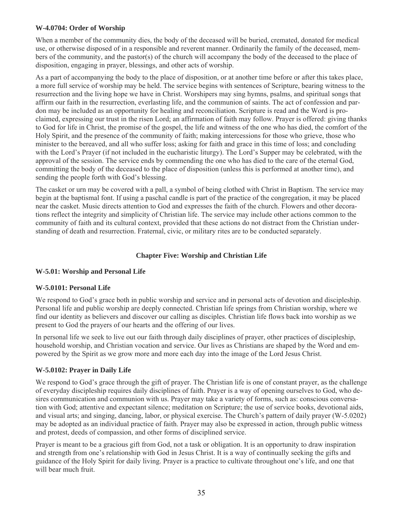# **W-4.0704: Order of Worship**

When a member of the community dies, the body of the deceased will be buried, cremated, donated for medical use, or otherwise disposed of in a responsible and reverent manner. Ordinarily the family of the deceased, members of the community, and the pastor(s) of the church will accompany the body of the deceased to the place of disposition, engaging in prayer, blessings, and other acts of worship.

As a part of accompanying the body to the place of disposition, or at another time before or after this takes place, a more full service of worship may be held. The service begins with sentences of Scripture, bearing witness to the resurrection and the living hope we have in Christ. Worshipers may sing hymns, psalms, and spiritual songs that affirm our faith in the resurrection, everlasting life, and the communion of saints. The act of confession and pardon may be included as an opportunity for healing and reconciliation. Scripture is read and the Word is proclaimed, expressing our trust in the risen Lord; an affirmation of faith may follow. Prayer is offered: giving thanks to God for life in Christ, the promise of the gospel, the life and witness of the one who has died, the comfort of the Holy Spirit, and the presence of the community of faith; making intercessions for those who grieve, those who minister to the bereaved, and all who suffer loss; asking for faith and grace in this time of loss; and concluding with the Lord's Prayer (if not included in the eucharistic liturgy). The Lord's Supper may be celebrated, with the approval of the session. The service ends by commending the one who has died to the care of the eternal God, committing the body of the deceased to the place of disposition (unless this is performed at another time), and sending the people forth with God's blessing.

The casket or urn may be covered with a pall, a symbol of being clothed with Christ in Baptism. The service may begin at the baptismal font. If using a paschal candle is part of the practice of the congregation, it may be placed near the casket. Music directs attention to God and expresses the faith of the church. Flowers and other decorations reflect the integrity and simplicity of Christian life. The service may include other actions common to the community of faith and its cultural context, provided that these actions do not distract from the Christian understanding of death and resurrection. Fraternal, civic, or military rites are to be conducted separately.

# **Chapter Five: Worship and Christian Life**

# **W-5.01: Worship and Personal Life**

#### **W-5.0101: Personal Life**

We respond to God's grace both in public worship and service and in personal acts of devotion and discipleship. Personal life and public worship are deeply connected. Christian life springs from Christian worship, where we find our identity as believers and discover our calling as disciples. Christian life flows back into worship as we present to God the prayers of our hearts and the offering of our lives.

In personal life we seek to live out our faith through daily disciplines of prayer, other practices of discipleship, household worship, and Christian vocation and service. Our lives as Christians are shaped by the Word and empowered by the Spirit as we grow more and more each day into the image of the Lord Jesus Christ.

#### **W-5.0102: Prayer in Daily Life**

We respond to God's grace through the gift of prayer. The Christian life is one of constant prayer, as the challenge of everyday discipleship requires daily disciplines of faith. Prayer is a way of opening ourselves to God, who desires communication and communion with us. Prayer may take a variety of forms, such as: conscious conversation with God; attentive and expectant silence; meditation on Scripture; the use of service books, devotional aids, and visual arts; and singing, dancing, labor, or physical exercise. The Church's pattern of daily prayer (W-5.0202) may be adopted as an individual practice of faith. Prayer may also be expressed in action, through public witness and protest, deeds of compassion, and other forms of disciplined service.

Prayer is meant to be a gracious gift from God, not a task or obligation. It is an opportunity to draw inspiration and strength from one's relationship with God in Jesus Christ. It is a way of continually seeking the gifts and guidance of the Holy Spirit for daily living. Prayer is a practice to cultivate throughout one's life, and one that will bear much fruit.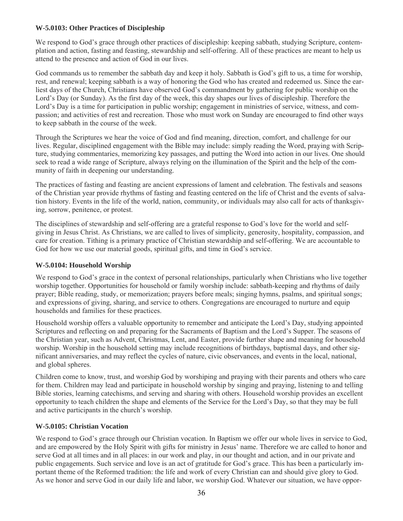#### **W-5.0103: Other Practices of Discipleship**

We respond to God's grace through other practices of discipleship: keeping sabbath, studying Scripture, contemplation and action, fasting and feasting, stewardship and self-offering. All of these practices are meant to help us attend to the presence and action of God in our lives.

God commands us to remember the sabbath day and keep it holy. Sabbath is God's gift to us, a time for worship, rest, and renewal; keeping sabbath is a way of honoring the God who has created and redeemed us. Since the earliest days of the Church, Christians have observed God's commandment by gathering for public worship on the Lord's Day (or Sunday). As the first day of the week, this day shapes our lives of discipleship. Therefore the Lord's Day is a time for participation in public worship; engagement in ministries of service, witness, and compassion; and activities of rest and recreation. Those who must work on Sunday are encouraged to find other ways to keep sabbath in the course of the week.

Through the Scriptures we hear the voice of God and find meaning, direction, comfort, and challenge for our lives. Regular, disciplined engagement with the Bible may include: simply reading the Word, praying with Scripture, studying commentaries, memorizing key passages, and putting the Word into action in our lives. One should seek to read a wide range of Scripture, always relying on the illumination of the Spirit and the help of the community of faith in deepening our understanding.

The practices of fasting and feasting are ancient expressions of lament and celebration. The festivals and seasons of the Christian year provide rhythms of fasting and feasting centered on the life of Christ and the events of salvation history. Events in the life of the world, nation, community, or individuals may also call for acts of thanksgiving, sorrow, penitence, or protest.

The disciplines of stewardship and self-offering are a grateful response to God's love for the world and selfgiving in Jesus Christ. As Christians, we are called to lives of simplicity, generosity, hospitality, compassion, and care for creation. Tithing is a primary practice of Christian stewardship and self-offering. We are accountable to God for how we use our material goods, spiritual gifts, and time in God's service.

#### **W-5.0104: Household Worship**

We respond to God's grace in the context of personal relationships, particularly when Christians who live together worship together. Opportunities for household or family worship include: sabbath-keeping and rhythms of daily prayer; Bible reading, study, or memorization; prayers before meals; singing hymns, psalms, and spiritual songs; and expressions of giving, sharing, and service to others. Congregations are encouraged to nurture and equip households and families for these practices.

Household worship offers a valuable opportunity to remember and anticipate the Lord's Day, studying appointed Scriptures and reflecting on and preparing for the Sacraments of Baptism and the Lord's Supper. The seasons of the Christian year, such as Advent, Christmas, Lent, and Easter, provide further shape and meaning for household worship. Worship in the household setting may include recognitions of birthdays, baptismal days, and other significant anniversaries, and may reflect the cycles of nature, civic observances, and events in the local, national, and global spheres.

Children come to know, trust, and worship God by worshiping and praying with their parents and others who care for them. Children may lead and participate in household worship by singing and praying, listening to and telling Bible stories, learning catechisms, and serving and sharing with others. Household worship provides an excellent opportunity to teach children the shape and elements of the Service for the Lord's Day, so that they may be full and active participants in the church's worship.

#### **W-5.0105: Christian Vocation**

We respond to God's grace through our Christian vocation. In Baptism we offer our whole lives in service to God, and are empowered by the Holy Spirit with gifts for ministry in Jesus' name. Therefore we are called to honor and serve God at all times and in all places: in our work and play, in our thought and action, and in our private and public engagements. Such service and love is an act of gratitude for God's grace. This has been a particularly important theme of the Reformed tradition: the life and work of every Christian can and should give glory to God. As we honor and serve God in our daily life and labor, we worship God. Whatever our situation, we have oppor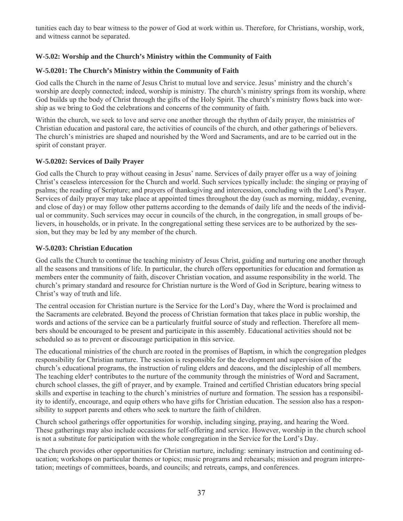tunities each day to bear witness to the power of God at work within us. Therefore, for Christians, worship, work, and witness cannot be separated.

# **W-5.02: Worship and the Church's Ministry within the Community of Faith**

# **W-5.0201: The Church's Ministry within the Community of Faith**

God calls the Church in the name of Jesus Christ to mutual love and service. Jesus' ministry and the church's worship are deeply connected; indeed, worship is ministry. The church's ministry springs from its worship, where God builds up the body of Christ through the gifts of the Holy Spirit. The church's ministry flows back into worship as we bring to God the celebrations and concerns of the community of faith.

Within the church, we seek to love and serve one another through the rhythm of daily prayer, the ministries of Christian education and pastoral care, the activities of councils of the church, and other gatherings of believers. The church's ministries are shaped and nourished by the Word and Sacraments, and are to be carried out in the spirit of constant prayer.

# **W-5.0202: Services of Daily Prayer**

God calls the Church to pray without ceasing in Jesus' name. Services of daily prayer offer us a way of joining Christ's ceaseless intercession for the Church and world. Such services typically include: the singing or praying of psalms; the reading of Scripture; and prayers of thanksgiving and intercession, concluding with the Lord's Prayer. Services of daily prayer may take place at appointed times throughout the day (such as morning, midday, evening, and close of day) or may follow other patterns according to the demands of daily life and the needs of the individual or community. Such services may occur in councils of the church, in the congregation, in small groups of believers, in households, or in private. In the congregational setting these services are to be authorized by the session, but they may be led by any member of the church.

#### **W-5.0203: Christian Education**

God calls the Church to continue the teaching ministry of Jesus Christ, guiding and nurturing one another through all the seasons and transitions of life. In particular, the church offers opportunities for education and formation as members enter the community of faith, discover Christian vocation, and assume responsibility in the world. The church's primary standard and resource for Christian nurture is the Word of God in Scripture, bearing witness to Christ's way of truth and life.

The central occasion for Christian nurture is the Service for the Lord's Day, where the Word is proclaimed and the Sacraments are celebrated. Beyond the process of Christian formation that takes place in public worship, the words and actions of the service can be a particularly fruitful source of study and reflection. Therefore all members should be encouraged to be present and participate in this assembly. Educational activities should not be scheduled so as to prevent or discourage participation in this service.

The educational ministries of the church are rooted in the promises of Baptism, in which the congregation pledges responsibility for Christian nurture. The session is responsible for the development and supervision of the church's educational programs, the instruction of ruling elders and deacons, and the discipleship of all members. The teaching elder† contributes to the nurture of the community through the ministries of Word and Sacrament, church school classes, the gift of prayer, and by example. Trained and certified Christian educators bring special skills and expertise in teaching to the church's ministries of nurture and formation. The session has a responsibility to identify, encourage, and equip others who have gifts for Christian education. The session also has a responsibility to support parents and others who seek to nurture the faith of children.

Church school gatherings offer opportunities for worship, including singing, praying, and hearing the Word. These gatherings may also include occasions for self-offering and service. However, worship in the church school is not a substitute for participation with the whole congregation in the Service for the Lord's Day.

The church provides other opportunities for Christian nurture, including: seminary instruction and continuing education; workshops on particular themes or topics; music programs and rehearsals; mission and program interpretation; meetings of committees, boards, and councils; and retreats, camps, and conferences.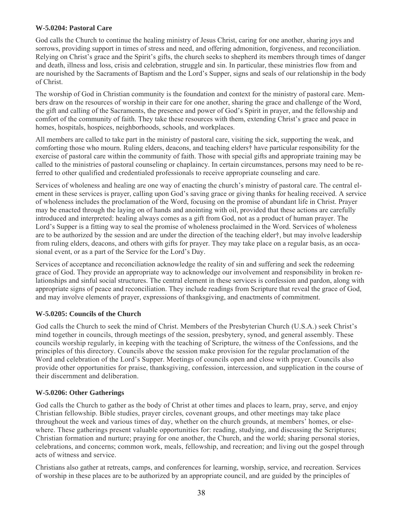# **W-5.0204: Pastoral Care**

God calls the Church to continue the healing ministry of Jesus Christ, caring for one another, sharing joys and sorrows, providing support in times of stress and need, and offering admonition, forgiveness, and reconciliation. Relying on Christ's grace and the Spirit's gifts, the church seeks to shepherd its members through times of danger and death, illness and loss, crisis and celebration, struggle and sin. In particular, these ministries flow from and are nourished by the Sacraments of Baptism and the Lord's Supper, signs and seals of our relationship in the body of Christ.

The worship of God in Christian community is the foundation and context for the ministry of pastoral care. Members draw on the resources of worship in their care for one another, sharing the grace and challenge of the Word, the gift and calling of the Sacraments, the presence and power of God's Spirit in prayer, and the fellowship and comfort of the community of faith. They take these resources with them, extending Christ's grace and peace in homes, hospitals, hospices, neighborhoods, schools, and workplaces.

All members are called to take part in the ministry of pastoral care, visiting the sick, supporting the weak, and comforting those who mourn. Ruling elders, deacons, and teaching elders† have particular responsibility for the exercise of pastoral care within the community of faith. Those with special gifts and appropriate training may be called to the ministries of pastoral counseling or chaplaincy. In certain circumstances, persons may need to be referred to other qualified and credentialed professionals to receive appropriate counseling and care.

Services of wholeness and healing are one way of enacting the church's ministry of pastoral care. The central element in these services is prayer, calling upon God's saving grace or giving thanks for healing received. A service of wholeness includes the proclamation of the Word, focusing on the promise of abundant life in Christ. Prayer may be enacted through the laying on of hands and anointing with oil, provided that these actions are carefully introduced and interpreted: healing always comes as a gift from God, not as a product of human prayer. The Lord's Supper is a fitting way to seal the promise of wholeness proclaimed in the Word. Services of wholeness are to be authorized by the session and are under the direction of the teaching elder†, but may involve leadership from ruling elders, deacons, and others with gifts for prayer. They may take place on a regular basis, as an occasional event, or as a part of the Service for the Lord's Day.

Services of acceptance and reconciliation acknowledge the reality of sin and suffering and seek the redeeming grace of God. They provide an appropriate way to acknowledge our involvement and responsibility in broken relationships and sinful social structures. The central element in these services is confession and pardon, along with appropriate signs of peace and reconciliation. They include readings from Scripture that reveal the grace of God, and may involve elements of prayer, expressions of thanksgiving, and enactments of commitment.

# **W-5.0205: Councils of the Church**

God calls the Church to seek the mind of Christ. Members of the Presbyterian Church (U.S.A.) seek Christ's mind together in councils, through meetings of the session, presbytery, synod, and general assembly. These councils worship regularly, in keeping with the teaching of Scripture, the witness of the Confessions, and the principles of this directory. Councils above the session make provision for the regular proclamation of the Word and celebration of the Lord's Supper. Meetings of councils open and close with prayer. Councils also provide other opportunities for praise, thanksgiving, confession, intercession, and supplication in the course of their discernment and deliberation.

# **W-5.0206: Other Gatherings**

God calls the Church to gather as the body of Christ at other times and places to learn, pray, serve, and enjoy Christian fellowship. Bible studies, prayer circles, covenant groups, and other meetings may take place throughout the week and various times of day, whether on the church grounds, at members' homes, or elsewhere. These gatherings present valuable opportunities for: reading, studying, and discussing the Scriptures; Christian formation and nurture; praying for one another, the Church, and the world; sharing personal stories, celebrations, and concerns; common work, meals, fellowship, and recreation; and living out the gospel through acts of witness and service.

Christians also gather at retreats, camps, and conferences for learning, worship, service, and recreation. Services of worship in these places are to be authorized by an appropriate council, and are guided by the principles of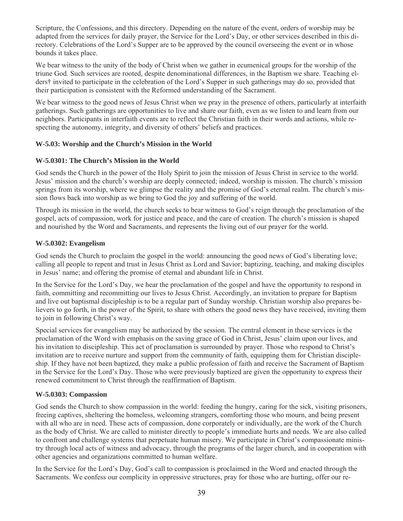Scripture, the Confessions, and this directory. Depending on the nature of the event, orders of worship may be adapted from the services for daily prayer, the Service for the Lord's Day, or other services described in this directory. Celebrations of the Lord's Supper are to be approved by the council overseeing the event or in whose bounds it takes place.

We bear witness to the unity of the body of Christ when we gather in ecumenical groups for the worship of the triune God. Such services are rooted, despite denominational differences, in the Baptism we share. Teaching elders† invited to participate in the celebration of the Lord's Supper in such gatherings may do so, provided that their participation is consistent with the Reformed understanding of the Sacrament.

We bear witness to the good news of Jesus Christ when we pray in the presence of others, particularly at interfaith gatherings. Such gatherings are opportunities to live and share our faith, even as we listen to and learn from our neighbors. Participants in interfaith events are to reflect the Christian faith in their words and actions, while respecting the autonomy, integrity, and diversity of others' beliefs and practices.

# **W-5.03: Worship and the Church's Mission in the World**

# **W-5.0301: The Church's Mission in the World**

God sends the Church in the power of the Holy Spirit to join the mission of Jesus Christ in service to the world. Jesus' mission and the church's worship are deeply connected; indeed, worship is mission. The church's mission springs from its worship, where we glimpse the reality and the promise of God's eternal realm. The church's mission flows back into worship as we bring to God the joy and suffering of the world.

Through its mission in the world, the church seeks to bear witness to God's reign through the proclamation of the gospel, acts of compassion, work for justice and peace, and the care of creation. The church's mission is shaped and nourished by the Word and Sacraments, and represents the living out of our prayer for the world.

# **W-5.0302: Evangelism**

God sends the Church to proclaim the gospel in the world: announcing the good news of God's liberating love; calling all people to repent and trust in Jesus Christ as Lord and Savior; baptizing, teaching, and making disciples in Jesus' name; and offering the promise of eternal and abundant life in Christ.

In the Service for the Lord's Day, we hear the proclamation of the gospel and have the opportunity to respond in faith, committing and recommitting our lives to Jesus Christ. Accordingly, an invitation to prepare for Baptism and live out baptismal discipleship is to be a regular part of Sunday worship. Christian worship also prepares believers to go forth, in the power of the Spirit, to share with others the good news they have received, inviting them to join in following Christ's way.

Special services for evangelism may be authorized by the session. The central element in these services is the proclamation of the Word with emphasis on the saving grace of God in Christ, Jesus' claim upon our lives, and his invitation to discipleship. This act of proclamation is surrounded by prayer. Those who respond to Christ's invitation are to receive nurture and support from the community of faith, equipping them for Christian discipleship. If they have not been baptized, they make a public profession of faith and receive the Sacrament of Baptism in the Service for the Lord's Day. Those who were previously baptized are given the opportunity to express their renewed commitment to Christ through the reaffirmation of Baptism.

# **W-5.0303: Compassion**

God sends the Church to show compassion in the world: feeding the hungry, caring for the sick, visiting prisoners, freeing captives, sheltering the homeless, welcoming strangers, comforting those who mourn, and being present with all who are in need. These acts of compassion, done corporately or individually, are the work of the Church as the body of Christ. We are called to minister directly to people's immediate hurts and needs. We are also called to confront and challenge systems that perpetuate human misery. We participate in Christ's compassionate ministry through local acts of witness and advocacy, through the programs of the larger church, and in cooperation with other agencies and organizations committed to human welfare.

In the Service for the Lord's Day, God's call to compassion is proclaimed in the Word and enacted through the Sacraments. We confess our complicity in oppressive structures, pray for those who are hurting, offer our re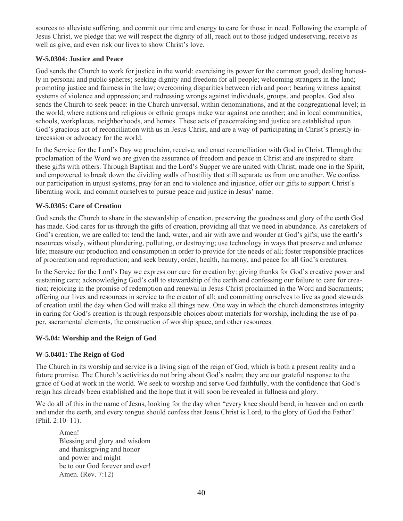sources to alleviate suffering, and commit our time and energy to care for those in need. Following the example of Jesus Christ, we pledge that we will respect the dignity of all, reach out to those judged undeserving, receive as well as give, and even risk our lives to show Christ's love.

# **W-5.0304: Justice and Peace**

God sends the Church to work for justice in the world: exercising its power for the common good; dealing honestly in personal and public spheres; seeking dignity and freedom for all people; welcoming strangers in the land; promoting justice and fairness in the law; overcoming disparities between rich and poor; bearing witness against systems of violence and oppression; and redressing wrongs against individuals, groups, and peoples. God also sends the Church to seek peace: in the Church universal, within denominations, and at the congregational level; in the world, where nations and religious or ethnic groups make war against one another; and in local communities, schools, workplaces, neighborhoods, and homes. These acts of peacemaking and justice are established upon God's gracious act of reconciliation with us in Jesus Christ, and are a way of participating in Christ's priestly intercession or advocacy for the world.

In the Service for the Lord's Day we proclaim, receive, and enact reconciliation with God in Christ. Through the proclamation of the Word we are given the assurance of freedom and peace in Christ and are inspired to share these gifts with others. Through Baptism and the Lord's Supper we are united with Christ, made one in the Spirit, and empowered to break down the dividing walls of hostility that still separate us from one another. We confess our participation in unjust systems, pray for an end to violence and injustice, offer our gifts to support Christ's liberating work, and commit ourselves to pursue peace and justice in Jesus' name.

# **W-5.0305: Care of Creation**

God sends the Church to share in the stewardship of creation, preserving the goodness and glory of the earth God has made. God cares for us through the gifts of creation, providing all that we need in abundance. As caretakers of God's creation, we are called to: tend the land, water, and air with awe and wonder at God's gifts; use the earth's resources wisely, without plundering, polluting, or destroying; use technology in ways that preserve and enhance life; measure our production and consumption in order to provide for the needs of all; foster responsible practices of procreation and reproduction; and seek beauty, order, health, harmony, and peace for all God's creatures.

In the Service for the Lord's Day we express our care for creation by: giving thanks for God's creative power and sustaining care; acknowledging God's call to stewardship of the earth and confessing our failure to care for creation; rejoicing in the promise of redemption and renewal in Jesus Christ proclaimed in the Word and Sacraments; offering our lives and resources in service to the creator of all; and committing ourselves to live as good stewards of creation until the day when God will make all things new. One way in which the church demonstrates integrity in caring for God's creation is through responsible choices about materials for worship, including the use of paper, sacramental elements, the construction of worship space, and other resources.

#### **W-5.04: Worship and the Reign of God**

#### **W-5.0401: The Reign of God**

The Church in its worship and service is a living sign of the reign of God, which is both a present reality and a future promise. The Church's activities do not bring about God's realm; they are our grateful response to the grace of God at work in the world. We seek to worship and serve God faithfully, with the confidence that God's reign has already been established and the hope that it will soon be revealed in fullness and glory.

We do all of this in the name of Jesus, looking for the day when "every knee should bend, in heaven and on earth and under the earth, and every tongue should confess that Jesus Christ is Lord, to the glory of God the Father" (Phil. 2:10–11).

Amen! Blessing and glory and wisdom and thanksgiving and honor and power and might be to our God forever and ever! Amen. (Rev. 7:12)